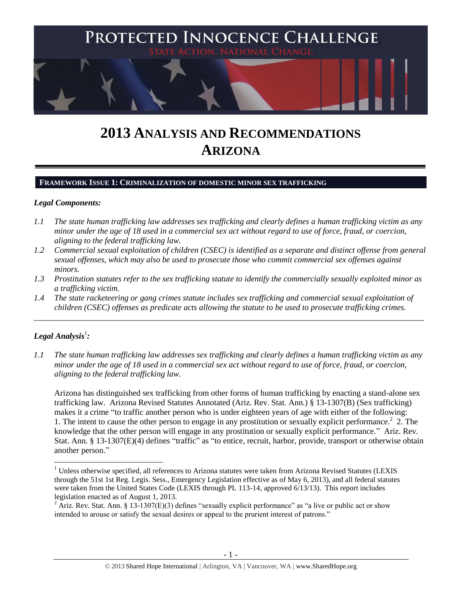

# **2013 ANALYSIS AND RECOMMENDATIONS ARIZONA**

# **FRAMEWORK ISSUE 1: CRIMINALIZATION OF DOMESTIC MINOR SEX TRAFFICKING**

# *Legal Components:*

- *1.1 The state human trafficking law addresses sex trafficking and clearly defines a human trafficking victim as any minor under the age of 18 used in a commercial sex act without regard to use of force, fraud, or coercion, aligning to the federal trafficking law.*
- *1.2 Commercial sexual exploitation of children (CSEC) is identified as a separate and distinct offense from general sexual offenses, which may also be used to prosecute those who commit commercial sex offenses against minors.*
- *1.3 Prostitution statutes refer to the sex trafficking statute to identify the commercially sexually exploited minor as a trafficking victim.*
- *1.4 The state racketeering or gang crimes statute includes sex trafficking and commercial sexual exploitation of children (CSEC) offenses as predicate acts allowing the statute to be used to prosecute trafficking crimes.*

\_\_\_\_\_\_\_\_\_\_\_\_\_\_\_\_\_\_\_\_\_\_\_\_\_\_\_\_\_\_\_\_\_\_\_\_\_\_\_\_\_\_\_\_\_\_\_\_\_\_\_\_\_\_\_\_\_\_\_\_\_\_\_\_\_\_\_\_\_\_\_\_\_\_\_\_\_\_\_\_\_\_\_\_\_\_\_\_\_\_\_\_\_\_

# $\bm{L}$ egal Analysis $^1$ :

 $\overline{a}$ 

*1.1 The state human trafficking law addresses sex trafficking and clearly defines a human trafficking victim as any minor under the age of 18 used in a commercial sex act without regard to use of force, fraud, or coercion, aligning to the federal trafficking law.*

<span id="page-0-0"></span>Arizona has distinguished sex trafficking from other forms of human trafficking by enacting a stand-alone sex trafficking law. Arizona Revised Statutes Annotated (Ariz. Rev. Stat. Ann.) § 13-1307(B) (Sex trafficking) makes it a crime "to traffic another person who is under eighteen years of age with either of the following: 1. The intent to cause the other person to engage in any prostitution or sexually explicit performance.<sup>2</sup> 2. The knowledge that the other person will engage in any prostitution or sexually explicit performance." Ariz. Rev. Stat. Ann. § 13-1307(E)(4) defines "traffic" as "to entice, recruit, harbor, provide, transport or otherwise obtain another person."

 $1$  Unless otherwise specified, all references to Arizona statutes were taken from Arizona Revised Statutes (LEXIS through the 51st 1st Reg. Legis. Sess., Emergency Legislation effective as of May 6, 2013), and all federal statutes were taken from the United States Code (LEXIS through PL 113-14, approved 6/13/13). This report includes legislation enacted as of August 1, 2013.

<sup>&</sup>lt;sup>2</sup> Ariz. Rev. Stat. Ann. § 13-1307(E)(3) defines "sexually explicit performance" as "a live or public act or show intended to arouse or satisfy the sexual desires or appeal to the prurient interest of patrons."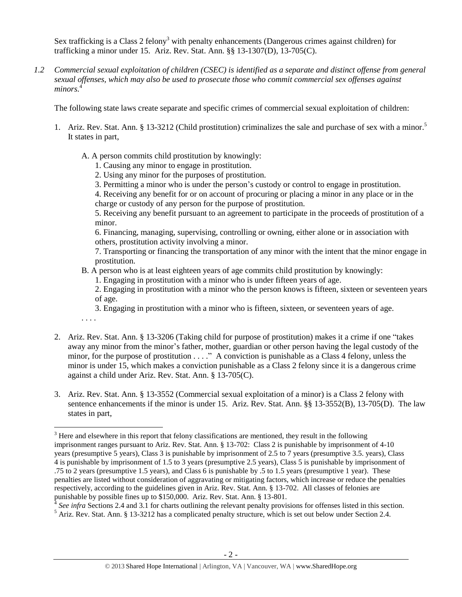<span id="page-1-0"></span>Sex trafficking is a Class 2 felony<sup>3</sup> with penalty enhancements (Dangerous crimes against children) for trafficking a minor under 15. Ariz. Rev. Stat. Ann. §§ 13-1307(D), 13-705(C).

*1.2 Commercial sexual exploitation of children (CSEC) is identified as a separate and distinct offense from general sexual offenses, which may also be used to prosecute those who commit commercial sex offenses against*  minors.

The following state laws create separate and specific crimes of commercial sexual exploitation of children:

- 1. Ariz. Rev. Stat. Ann. § 13-3212 (Child prostitution) criminalizes the sale and purchase of sex with a minor.<sup>5</sup> It states in part,
	- A. A person commits child prostitution by knowingly:
		- 1. Causing any minor to engage in prostitution.
		- 2. Using any minor for the purposes of prostitution.
		- 3. Permitting a minor who is under the person's custody or control to engage in prostitution.

4. Receiving any benefit for or on account of procuring or placing a minor in any place or in the charge or custody of any person for the purpose of prostitution.

5. Receiving any benefit pursuant to an agreement to participate in the proceeds of prostitution of a minor.

6. Financing, managing, supervising, controlling or owning, either alone or in association with others, prostitution activity involving a minor.

7. Transporting or financing the transportation of any minor with the intent that the minor engage in prostitution.

- B. A person who is at least eighteen years of age commits child prostitution by knowingly:
	- 1. Engaging in prostitution with a minor who is under fifteen years of age.

2. Engaging in prostitution with a minor who the person knows is fifteen, sixteen or seventeen years of age.

3. Engaging in prostitution with a minor who is fifteen, sixteen, or seventeen years of age.

. . . .

- 2. Ariz. Rev. Stat. Ann. § 13-3206 (Taking child for purpose of prostitution) makes it a crime if one "takes away any minor from the minor's father, mother, guardian or other person having the legal custody of the minor, for the purpose of prostitution . . . ." A conviction is punishable as a Class 4 felony, unless the minor is under 15, which makes a conviction punishable as a Class 2 felony since it is a dangerous crime against a child under Ariz. Rev. Stat. Ann. § 13-705(C).
- 3. Ariz. Rev. Stat. Ann. § 13-3552 (Commercial sexual exploitation of a minor) is a Class 2 felony with sentence enhancements if the minor is under 15. Ariz. Rev. Stat. Ann. §§ 13-3552(B), 13-705(D). The law states in part,

<sup>&</sup>lt;sup>3</sup> Here and elsewhere in this report that felony classifications are mentioned, they result in the following imprisonment ranges pursuant to Ariz. Rev. Stat. Ann. § 13-702: Class 2 is punishable by imprisonment of 4-10 years (presumptive 5 years), Class 3 is punishable by imprisonment of 2.5 to 7 years (presumptive 3.5. years), Class 4 is punishable by imprisonment of 1.5 to 3 years (presumptive 2.5 years), Class 5 is punishable by imprisonment of .75 to 2 years (presumptive 1.5 years), and Class 6 is punishable by .5 to 1.5 years (presumptive 1 year). These penalties are listed without consideration of aggravating or mitigating factors, which increase or reduce the penalties respectively, according to the guidelines given in Ariz. Rev. Stat. Ann. § 13-702. All classes of felonies are punishable by possible fines up to \$150,000. Ariz. Rev. Stat. Ann. § 13-801.

<sup>&</sup>lt;sup>4</sup> See infra Sections 2.4 and 3.1 for charts outlining the relevant penalty provisions for offenses listed in this section.

 $<sup>5</sup>$  Ariz. Rev. Stat. Ann. § 13-3212 has a complicated penalty structure, which is set out below under Section 2.4.</sup>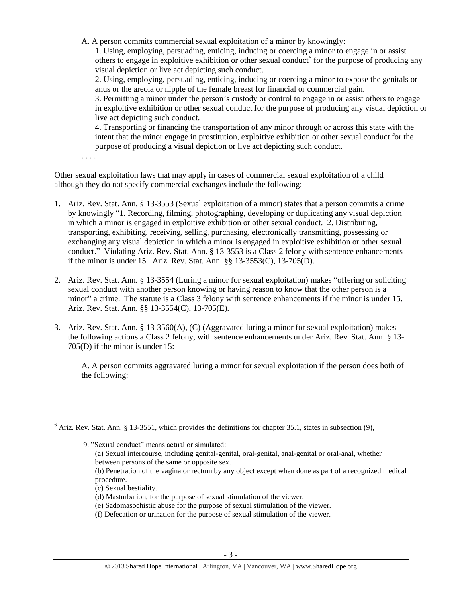A. A person commits commercial sexual exploitation of a minor by knowingly:

1. Using, employing, persuading, enticing, inducing or coercing a minor to engage in or assist others to engage in exploitive exhibition or other sexual conduct<sup>6</sup> for the purpose of producing any visual depiction or live act depicting such conduct.

2. Using, employing, persuading, enticing, inducing or coercing a minor to expose the genitals or anus or the areola or nipple of the female breast for financial or commercial gain.

3. Permitting a minor under the person's custody or control to engage in or assist others to engage in exploitive exhibition or other sexual conduct for the purpose of producing any visual depiction or live act depicting such conduct.

4. Transporting or financing the transportation of any minor through or across this state with the intent that the minor engage in prostitution, exploitive exhibition or other sexual conduct for the purpose of producing a visual depiction or live act depicting such conduct.

. . . .

 $\overline{a}$ 

Other sexual exploitation laws that may apply in cases of commercial sexual exploitation of a child although they do not specify commercial exchanges include the following:

- 1. Ariz. Rev. Stat. Ann. § 13-3553 (Sexual exploitation of a minor) states that a person commits a crime by knowingly "1. Recording, filming, photographing, developing or duplicating any visual depiction in which a minor is engaged in exploitive exhibition or other sexual conduct. 2. Distributing, transporting, exhibiting, receiving, selling, purchasing, electronically transmitting, possessing or exchanging any visual depiction in which a minor is engaged in exploitive exhibition or other sexual conduct." Violating Ariz. Rev. Stat. Ann. § 13-3553 is a Class 2 felony with sentence enhancements if the minor is under 15. Ariz. Rev. Stat. Ann. §§ 13-3553(C), 13-705(D).
- 2. Ariz. Rev. Stat. Ann. § 13-3554 (Luring a minor for sexual exploitation) makes "offering or soliciting sexual conduct with another person knowing or having reason to know that the other person is a minor" a crime. The statute is a Class 3 felony with sentence enhancements if the minor is under 15. Ariz. Rev. Stat. Ann. §§ 13-3554(C), 13-705(E).
- 3. Ariz. Rev. Stat. Ann. § 13-3560(A), (C) (Aggravated luring a minor for sexual exploitation) makes the following actions a Class 2 felony, with sentence enhancements under Ariz. Rev. Stat. Ann. § 13- 705(D) if the minor is under 15:

A. A person commits aggravated luring a minor for sexual exploitation if the person does both of the following:

 $6$  Ariz. Rev. Stat. Ann. § 13-3551, which provides the definitions for chapter 35.1, states in subsection (9),

<sup>9.</sup> "Sexual conduct" means actual or simulated:

<sup>(</sup>a) Sexual intercourse, including genital-genital, oral-genital, anal-genital or oral-anal, whether between persons of the same or opposite sex.

<sup>(</sup>b) Penetration of the vagina or rectum by any object except when done as part of a recognized medical procedure.

<sup>(</sup>c) Sexual bestiality.

<sup>(</sup>d) Masturbation, for the purpose of sexual stimulation of the viewer.

<sup>(</sup>e) Sadomasochistic abuse for the purpose of sexual stimulation of the viewer.

<sup>(</sup>f) Defecation or urination for the purpose of sexual stimulation of the viewer.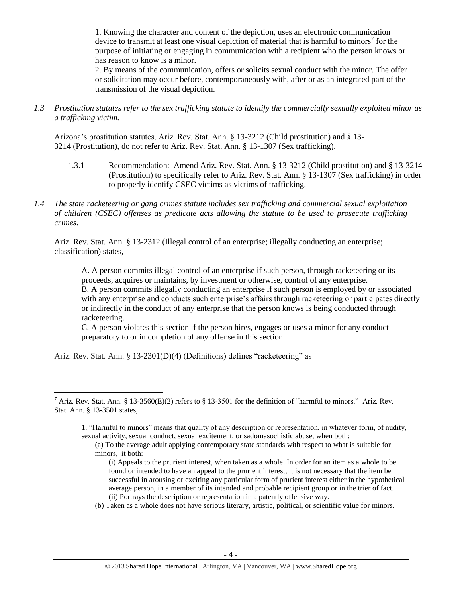1. Knowing the character and content of the depiction, uses an electronic communication device to transmit at least one visual depiction of material that is harmful to minors<sup>7</sup> for the purpose of initiating or engaging in communication with a recipient who the person knows or has reason to know is a minor.

2. By means of the communication, offers or solicits sexual conduct with the minor. The offer or solicitation may occur before, contemporaneously with, after or as an integrated part of the transmission of the visual depiction.

*1.3 Prostitution statutes refer to the sex trafficking statute to identify the commercially sexually exploited minor as a trafficking victim.* 

Arizona's prostitution statutes, Ariz. Rev. Stat. Ann. § 13-3212 (Child prostitution) and § 13- 3214 (Prostitution), do not refer to Ariz. Rev. Stat. Ann. § 13-1307 (Sex trafficking).

- 1.3.1 Recommendation: Amend Ariz. Rev. Stat. Ann. § 13-3212 (Child prostitution) and § 13-3214 (Prostitution) to specifically refer to Ariz. Rev. Stat. Ann. § 13-1307 (Sex trafficking) in order to properly identify CSEC victims as victims of trafficking.
- *1.4 The state racketeering or gang crimes statute includes sex trafficking and commercial sexual exploitation of children (CSEC) offenses as predicate acts allowing the statute to be used to prosecute trafficking crimes.*

Ariz. Rev. Stat. Ann. § 13-2312 (Illegal control of an enterprise; illegally conducting an enterprise; classification) states,

A. A person commits illegal control of an enterprise if such person, through racketeering or its proceeds, acquires or maintains, by investment or otherwise, control of any enterprise. B. A person commits illegally conducting an enterprise if such person is employed by or associated with any enterprise and conducts such enterprise's affairs through racketeering or participates directly or indirectly in the conduct of any enterprise that the person knows is being conducted through racketeering.

C. A person violates this section if the person hires, engages or uses a minor for any conduct preparatory to or in completion of any offense in this section.

Ariz. Rev. Stat. Ann. § 13-2301(D)(4) (Definitions) defines "racketeering" as

 $\overline{a}$ 

(b) Taken as a whole does not have serious literary, artistic, political, or scientific value for minors.

<sup>&</sup>lt;sup>7</sup> Ariz. Rev. Stat. Ann. § 13-3560(E)(2) refers to § 13-3501 for the definition of "harmful to minors." Ariz. Rev. Stat. Ann. § 13-3501 states,

<sup>1.</sup> "Harmful to minors" means that quality of any description or representation, in whatever form, of nudity, sexual activity, sexual conduct, sexual excitement, or sadomasochistic abuse, when both:

<sup>(</sup>a) To the average adult applying contemporary state standards with respect to what is suitable for minors, it both:

<sup>(</sup>i) Appeals to the prurient interest, when taken as a whole. In order for an item as a whole to be found or intended to have an appeal to the prurient interest, it is not necessary that the item be successful in arousing or exciting any particular form of prurient interest either in the hypothetical average person, in a member of its intended and probable recipient group or in the trier of fact. (ii) Portrays the description or representation in a patently offensive way.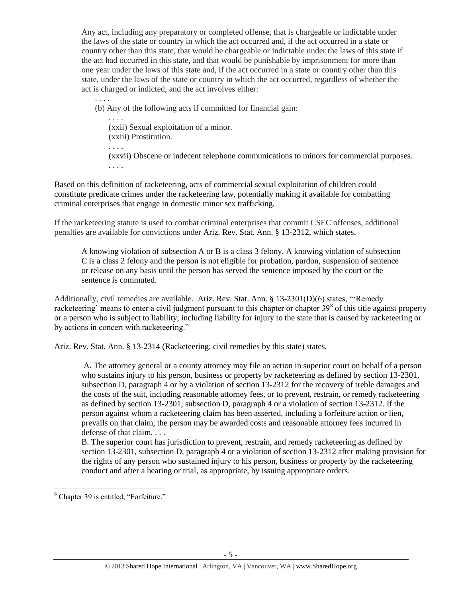Any act, including any preparatory or completed offense, that is chargeable or indictable under the laws of the state or country in which the act occurred and, if the act occurred in a state or country other than this state, that would be chargeable or indictable under the laws of this state if the act had occurred in this state, and that would be punishable by imprisonment for more than one year under the laws of this state and, if the act occurred in a state or country other than this state, under the laws of the state or country in which the act occurred, regardless of whether the act is charged or indicted, and the act involves either:

. . . . (b) Any of the following acts if committed for financial gain:

. . . . (xxii) Sexual exploitation of a minor. (xxiii) Prostitution.

. . . .

(xxvii) Obscene or indecent telephone communications to minors for commercial purposes. . . . .

Based on this definition of racketeering, acts of commercial sexual exploitation of children could constitute predicate crimes under the racketeering law, potentially making it available for combatting criminal enterprises that engage in domestic minor sex trafficking.

If the racketeering statute is used to combat criminal enterprises that commit CSEC offenses, additional penalties are available for convictions under Ariz. Rev. Stat. Ann. § 13-2312, which states,

A knowing violation of subsection A or B is a class 3 felony. A knowing violation of subsection C is a class 2 felony and the person is not eligible for probation, pardon, suspension of sentence or release on any basis until the person has served the sentence imposed by the court or the sentence is commuted.

Additionally, civil remedies are available. Ariz. Rev. Stat. Ann. § 13-2301(D)(6) states, "'Remedy racketeering' means to enter a civil judgment pursuant to this chapter or chapter  $39<sup>8</sup>$  of this title against property or a person who is subject to liability, including liability for injury to the state that is caused by racketeering or by actions in concert with racketeering."

Ariz. Rev. Stat. Ann. § 13-2314 (Racketeering; civil remedies by this state) states,

A. The attorney general or a county attorney may file an action in superior court on behalf of a person who sustains injury to his person, business or property by racketeering as defined by section 13-2301, subsection D, paragraph 4 or by a violation of section 13-2312 for the recovery of treble damages and the costs of the suit, including reasonable attorney fees, or to prevent, restrain, or remedy racketeering as defined by section 13-2301, subsection D, paragraph 4 or a violation of section 13-2312. If the person against whom a racketeering claim has been asserted, including a forfeiture action or lien, prevails on that claim, the person may be awarded costs and reasonable attorney fees incurred in defense of that claim. . . .

B. The superior court has jurisdiction to prevent, restrain, and remedy racketeering as defined by section 13-2301, subsection D, paragraph 4 or a violation of section 13-2312 after making provision for the rights of any person who sustained injury to his person, business or property by the racketeering conduct and after a hearing or trial, as appropriate, by issuing appropriate orders.

<sup>&</sup>lt;sup>8</sup> Chapter 39 is entitled, "Forfeiture."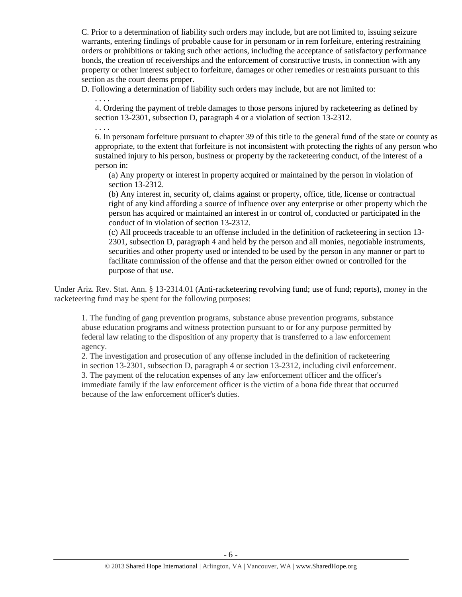C. Prior to a determination of liability such orders may include, but are not limited to, issuing seizure warrants, entering findings of probable cause for in personam or in rem forfeiture, entering restraining orders or prohibitions or taking such other actions, including the acceptance of satisfactory performance bonds, the creation of receiverships and the enforcement of constructive trusts, in connection with any property or other interest subject to forfeiture, damages or other remedies or restraints pursuant to this section as the court deems proper.

D. Following a determination of liability such orders may include, but are not limited to:

4. Ordering the payment of treble damages to those persons injured by racketeering as defined by section 13-2301, subsection D, paragraph 4 or a violation of section 13-2312.

. . . .

. . . .

6. In personam forfeiture pursuant to chapter 39 of this title to the general fund of the state or county as appropriate, to the extent that forfeiture is not inconsistent with protecting the rights of any person who sustained injury to his person, business or property by the racketeering conduct, of the interest of a person in:

(a) Any property or interest in property acquired or maintained by the person in violation of section 13-2312.

(b) Any interest in, security of, claims against or property, office, title, license or contractual right of any kind affording a source of influence over any enterprise or other property which the person has acquired or maintained an interest in or control of, conducted or participated in the conduct of in violation of section 13-2312.

(c) All proceeds traceable to an offense included in the definition of racketeering in section 13- 2301, subsection D, paragraph 4 and held by the person and all monies, negotiable instruments, securities and other property used or intended to be used by the person in any manner or part to facilitate commission of the offense and that the person either owned or controlled for the purpose of that use.

Under Ariz. Rev. Stat. Ann. § 13-2314.01 (Anti-racketeering revolving fund; use of fund; reports), money in the racketeering fund may be spent for the following purposes:

1. The funding of gang prevention programs, substance abuse prevention programs, substance abuse education programs and witness protection pursuant to or for any purpose permitted by federal law relating to the disposition of any property that is transferred to a law enforcement agency.

2. The investigation and prosecution of any offense included in the definition of racketeering in section 13-2301, subsection D, paragraph 4 or section 13-2312, including civil enforcement. 3. The payment of the relocation expenses of any law enforcement officer and the officer's immediate family if the law enforcement officer is the victim of a bona fide threat that occurred because of the law enforcement officer's duties.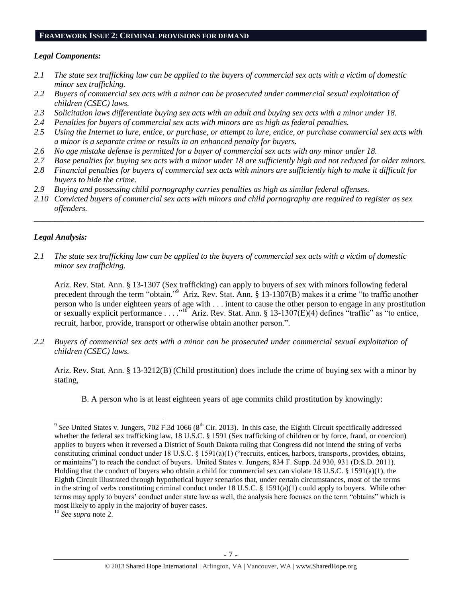#### **FRAMEWORK ISSUE 2: CRIMINAL PROVISIONS FOR DEMAND**

## *Legal Components:*

- *2.1 The state sex trafficking law can be applied to the buyers of commercial sex acts with a victim of domestic minor sex trafficking.*
- *2.2 Buyers of commercial sex acts with a minor can be prosecuted under commercial sexual exploitation of children (CSEC) laws.*
- *2.3 Solicitation laws differentiate buying sex acts with an adult and buying sex acts with a minor under 18.*
- *2.4 Penalties for buyers of commercial sex acts with minors are as high as federal penalties.*
- *2.5 Using the Internet to lure, entice, or purchase, or attempt to lure, entice, or purchase commercial sex acts with a minor is a separate crime or results in an enhanced penalty for buyers.*
- *2.6 No age mistake defense is permitted for a buyer of commercial sex acts with any minor under 18.*
- *2.7 Base penalties for buying sex acts with a minor under 18 are sufficiently high and not reduced for older minors.*
- *2.8 Financial penalties for buyers of commercial sex acts with minors are sufficiently high to make it difficult for buyers to hide the crime.*
- *2.9 Buying and possessing child pornography carries penalties as high as similar federal offenses.*
- *2.10 Convicted buyers of commercial sex acts with minors and child pornography are required to register as sex offenders.*

\_\_\_\_\_\_\_\_\_\_\_\_\_\_\_\_\_\_\_\_\_\_\_\_\_\_\_\_\_\_\_\_\_\_\_\_\_\_\_\_\_\_\_\_\_\_\_\_\_\_\_\_\_\_\_\_\_\_\_\_\_\_\_\_\_\_\_\_\_\_\_\_\_\_\_\_\_\_\_\_\_\_\_\_\_\_\_\_\_\_\_\_\_\_

# *Legal Analysis:*

 $\overline{a}$ 

*2.1 The state sex trafficking law can be applied to the buyers of commercial sex acts with a victim of domestic minor sex trafficking.*

Ariz. Rev. Stat. Ann. § 13-1307 (Sex trafficking) can apply to buyers of sex with minors following federal precedent through the term "obtain."<sup>9</sup> Ariz. Rev. Stat. Ann. § 13-1307(B) makes it a crime "to traffic another person who is under eighteen years of age with . . . intent to cause the other person to engage in any prostitution or sexually explicit performance . . . .<sup>10</sup> Ariz. Rev. Stat. Ann. § 13-1307(E)(4) defines "traffic" as "to entice, recruit, harbor, provide, transport or otherwise obtain another person.".

*2.2 Buyers of commercial sex acts with a minor can be prosecuted under commercial sexual exploitation of children (CSEC) laws.*

Ariz. Rev. Stat. Ann. § 13-3212(B) (Child prostitution) does include the crime of buying sex with a minor by stating,

B. A person who is at least eighteen years of age commits child prostitution by knowingly:

 $9^{9}$  See United States v. Jungers, 702 F.3d 1066 ( $8^{th}$  Cir. 2013). In this case, the Eighth Circuit specifically addressed whether the federal sex trafficking law, 18 U.S.C. § 1591 (Sex trafficking of children or by force, fraud, or coercion) applies to buyers when it reversed a District of South Dakota ruling that Congress did not intend the string of verbs constituting criminal conduct under 18 U.S.C. § 1591(a)(1) ("recruits, entices, harbors, transports, provides, obtains, or maintains") to reach the conduct of buyers. United States v. Jungers, 834 F. Supp. 2d 930, 931 (D.S.D. 2011). Holding that the conduct of buyers who obtain a child for commercial sex can violate 18 U.S.C. § 1591(a)(1), the Eighth Circuit illustrated through hypothetical buyer scenarios that, under certain circumstances, most of the terms in the string of verbs constituting criminal conduct under 18 U.S.C. § 1591(a)(1) could apply to buyers. While other terms may apply to buyers' conduct under state law as well, the analysis here focuses on the term "obtains" which is most likely to apply in the majority of buyer cases.

<sup>10</sup> *See supra* note [2.](#page-0-0)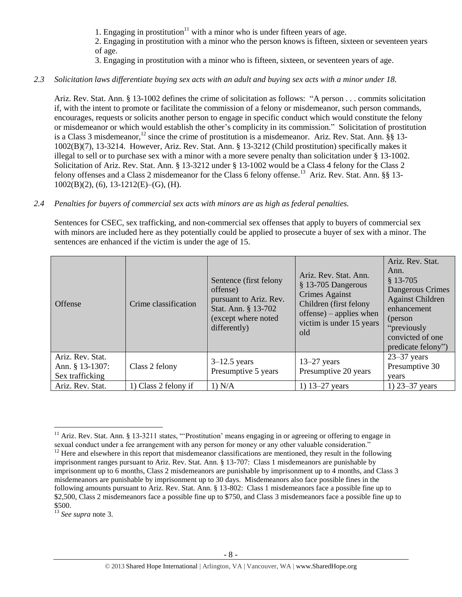1. Engaging in prostitution $11$  with a minor who is under fifteen vears of age.

2. Engaging in prostitution with a minor who the person knows is fifteen, sixteen or seventeen years of age.

3. Engaging in prostitution with a minor who is fifteen, sixteen, or seventeen years of age.

## *2.3 Solicitation laws differentiate buying sex acts with an adult and buying sex acts with a minor under 18.*

Ariz. Rev. Stat. Ann. § 13-1002 defines the crime of solicitation as follows: "A person . . . commits solicitation if, with the intent to promote or facilitate the commission of a felony or misdemeanor, such person commands, encourages, requests or solicits another person to engage in specific conduct which would constitute the felony or misdemeanor or which would establish the other's complicity in its commission." Solicitation of prostitution is a Class 3 misdemeanor,<sup>12</sup> since the crime of prostitution is a misdemeanor. Ariz. Rev. Stat. Ann. §§ 13-1002(B)(7), 13-3214. However, Ariz. Rev. Stat. Ann. § 13-3212 (Child prostitution) specifically makes it illegal to sell or to purchase sex with a minor with a more severe penalty than solicitation under § 13-1002. Solicitation of Ariz. Rev. Stat. Ann. § 13-3212 under § 13-1002 would be a Class 4 felony for the Class 2 felony offenses and a Class 2 misdemeanor for the Class 6 felony offense.<sup>13</sup> Ariz. Rev. Stat. Ann. §§ 13-1002(B)(2), (6), 13-1212(E)–(G), (H).

#### *2.4 Penalties for buyers of commercial sex acts with minors are as high as federal penalties.*

Sentences for CSEC, sex trafficking, and non-commercial sex offenses that apply to buyers of commercial sex with minors are included here as they potentially could be applied to prosecute a buyer of sex with a minor. The sentences are enhanced if the victim is under the age of 15.

| <b>Offense</b>                                         | Crime classification | Sentence (first felony<br>offense)<br>pursuant to Ariz. Rev.<br>Stat. Ann. § 13-702<br>(except where noted<br>differently) | Ariz, Rev. Stat, Ann.<br>§ 13-705 Dangerous<br>Crimes Against<br>Children (first felony<br>$offense$ ) – applies when<br>victim is under 15 years<br>old | Ariz. Rev. Stat.<br>Ann.<br>$$13-705$<br>Dangerous Crimes<br><b>Against Children</b><br>enhancement<br>(person<br>"previously<br>convicted of one<br>predicate felony") |
|--------------------------------------------------------|----------------------|----------------------------------------------------------------------------------------------------------------------------|----------------------------------------------------------------------------------------------------------------------------------------------------------|-------------------------------------------------------------------------------------------------------------------------------------------------------------------------|
| Ariz. Rev. Stat.<br>Ann. § 13-1307:<br>Sex trafficking | Class 2 felony       | $3-12.5$ years<br>Presumptive 5 years                                                                                      | $13-27$ years<br>Presumptive 20 years                                                                                                                    | $23 - 37$ years<br>Presumptive 30<br>vears                                                                                                                              |
| Ariz. Rev. Stat.                                       | 1) Class 2 felony if | 1) N/A                                                                                                                     | 1) $13 - 27$ years                                                                                                                                       | 1) $23 - 37$ years                                                                                                                                                      |

<sup>&</sup>lt;sup>11</sup> Ariz. Rev. Stat. Ann. § 13-3211 states, "Prostitution' means engaging in or agreeing or offering to engage in sexual conduct under a fee arrangement with any person for money or any other valuable consideration."  $12$  Here and elsewhere in this report that misdemeanor classifications are mentioned, they result in the following imprisonment ranges pursuant to Ariz. Rev. Stat. Ann. § 13-707: Class 1 misdemeanors are punishable by imprisonment up to 6 months, Class 2 misdemeanors are punishable by imprisonment up to 4 months, and Class 3 misdemeanors are punishable by imprisonment up to 30 days. Misdemeanors also face possible fines in the following amounts pursuant to Ariz. Rev. Stat. Ann. § 13-802: Class 1 misdemeanors face a possible fine up to \$2,500, Class 2 misdemeanors face a possible fine up to \$750, and Class 3 misdemeanors face a possible fine up to \$500.

<sup>13</sup> *See supra* note [3.](#page-1-0)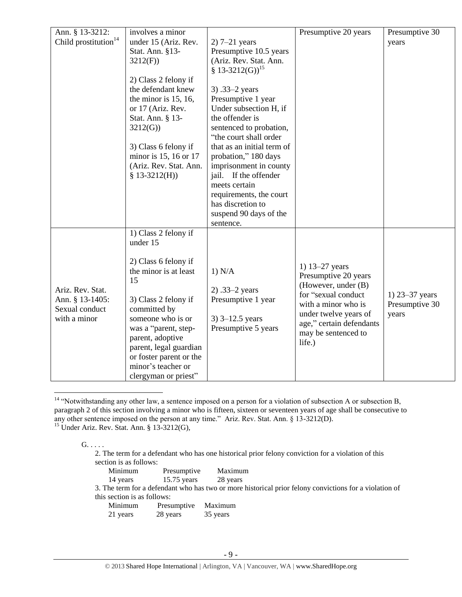<span id="page-8-1"></span><span id="page-8-0"></span>

| Ann. § 13-3212:                  | involves a minor        |                            | Presumptive 20 years     | Presumptive $30$   |
|----------------------------------|-------------------------|----------------------------|--------------------------|--------------------|
| Child prostitution <sup>14</sup> | under 15 (Ariz. Rev.    | $2)$ 7–21 years            |                          | years              |
|                                  | Stat. Ann. §13-         | Presumptive 10.5 years     |                          |                    |
|                                  | 3212(F)                 | (Ariz. Rev. Stat. Ann.     |                          |                    |
|                                  |                         | $$13-3212(G)]^{15}$        |                          |                    |
|                                  | 2) Class 2 felony if    |                            |                          |                    |
|                                  | the defendant knew      | 3) .33-2 years             |                          |                    |
|                                  | the minor is $15, 16$ , | Presumptive 1 year         |                          |                    |
|                                  | or 17 (Ariz. Rev.       | Under subsection H, if     |                          |                    |
|                                  | Stat. Ann. § 13-        | the offender is            |                          |                    |
|                                  | 3212(G)                 | sentenced to probation,    |                          |                    |
|                                  |                         | "the court shall order     |                          |                    |
|                                  | 3) Class 6 felony if    | that as an initial term of |                          |                    |
|                                  | minor is 15, 16 or 17   | probation," 180 days       |                          |                    |
|                                  | (Ariz. Rev. Stat. Ann.  | imprisonment in county     |                          |                    |
|                                  | $$13-3212(H))$          | jail. If the offender      |                          |                    |
|                                  |                         | meets certain              |                          |                    |
|                                  |                         | requirements, the court    |                          |                    |
|                                  |                         | has discretion to          |                          |                    |
|                                  |                         | suspend 90 days of the     |                          |                    |
|                                  |                         | sentence.                  |                          |                    |
|                                  | 1) Class 2 felony if    |                            |                          |                    |
|                                  | under 15                |                            |                          |                    |
|                                  |                         |                            |                          |                    |
|                                  | 2) Class 6 felony if    |                            | 1) 13–27 years           |                    |
|                                  | the minor is at least   | 1) N/A                     | Presumptive 20 years     |                    |
|                                  | 15                      |                            | (However, under (B)      |                    |
| Ariz. Rev. Stat.                 |                         | $2) .33 - 2 years$         | for "sexual conduct      | 1) $23 - 37$ years |
| Ann. § 13-1405:                  | 3) Class 2 felony if    | Presumptive 1 year         | with a minor who is      | Presumptive 30     |
| Sexual conduct                   | committed by            |                            | under twelve years of    | years              |
| with a minor                     | someone who is or       | $3)$ 3–12.5 years          | age," certain defendants |                    |
|                                  | was a "parent, step-    | Presumptive 5 years        | may be sentenced to      |                    |
|                                  | parent, adoptive        |                            | life.)                   |                    |
|                                  | parent, legal guardian  |                            |                          |                    |
|                                  | or foster parent or the |                            |                          |                    |
|                                  | minor's teacher or      |                            |                          |                    |
|                                  | clergyman or priest"    |                            |                          |                    |

<sup>&</sup>lt;sup>14</sup> "Notwithstanding any other law, a sentence imposed on a person for a violation of subsection A or subsection B, paragraph 2 of this section involving a minor who is fifteen, sixteen or seventeen years of age shall be consecutive to any other sentence imposed on the person at any time." Ariz. Rev. Stat. Ann. § 13-3212(D).

 $15$  Under Ariz. Rev. Stat. Ann. § 13-3212(G),

#### $G. \ldots$ .

 $\overline{a}$ 

2. The term for a defendant who has one historical prior felony conviction for a violation of this section is as follows:

| Minimum | Presumptive                   | Maximum                                                                                                |
|---------|-------------------------------|--------------------------------------------------------------------------------------------------------|
|         | 14 years 15.75 years 28 years |                                                                                                        |
|         |                               | 3. The term for a defendant who has two or more historical prior felony convictions for a violation of |

this section is as follows:

| Minimum  | Presumptive | Maximum  |
|----------|-------------|----------|
| 21 years | 28 years    | 35 years |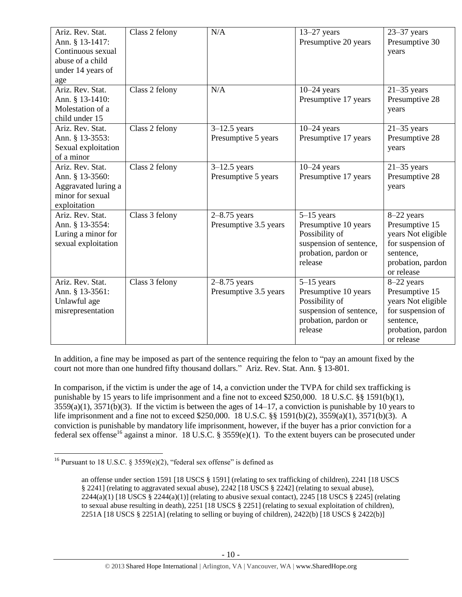| Ariz. Rev. Stat.<br>Ann. § 13-1417:<br>Continuous sexual<br>abuse of a child<br>under 14 years of<br>age | Class 2 felony | N/A                                       | $13-27$ years<br>Presumptive 20 years                                                                                | $23 - 37$ years<br>Presumptive 30<br>years                                                                              |
|----------------------------------------------------------------------------------------------------------|----------------|-------------------------------------------|----------------------------------------------------------------------------------------------------------------------|-------------------------------------------------------------------------------------------------------------------------|
| Ariz, Rev. Stat.<br>Ann. § 13-1410:<br>Molestation of a<br>child under 15                                | Class 2 felony | N/A                                       | $10-24$ years<br>Presumptive 17 years                                                                                | $21-35$ years<br>Presumptive 28<br>years                                                                                |
| Ariz. Rev. Stat.<br>Ann. § 13-3553:<br>Sexual exploitation<br>of a minor                                 | Class 2 felony | $3-12.5$ years<br>Presumptive 5 years     | $10-24$ years<br>Presumptive 17 years                                                                                | $21-35$ years<br>Presumptive 28<br>years                                                                                |
| Ariz. Rev. Stat.<br>Ann. § 13-3560:<br>Aggravated luring a<br>minor for sexual<br>exploitation           | Class 2 felony | $3-12.5$ years<br>Presumptive 5 years     | $10-24$ years<br>Presumptive 17 years                                                                                | $21-35$ years<br>Presumptive 28<br>years                                                                                |
| Ariz. Rev. Stat.<br>Ann. § 13-3554:<br>Luring a minor for<br>sexual exploitation                         | Class 3 felony | $2 - 8.75$ years<br>Presumptive 3.5 years | $5-15$ years<br>Presumptive 10 years<br>Possibility of<br>suspension of sentence,<br>probation, pardon or<br>release | 8-22 years<br>Presumptive 15<br>years Not eligible<br>for suspension of<br>sentence,<br>probation, pardon<br>or release |
| Ariz. Rev. Stat.<br>Ann. § 13-3561:<br>Unlawful age<br>misrepresentation                                 | Class 3 felony | $2 - 8.75$ years<br>Presumptive 3.5 years | $5-15$ years<br>Presumptive 10 years<br>Possibility of<br>suspension of sentence,<br>probation, pardon or<br>release | 8-22 years<br>Presumptive 15<br>years Not eligible<br>for suspension of<br>sentence,<br>probation, pardon<br>or release |

In addition, a fine may be imposed as part of the sentence requiring the felon to "pay an amount fixed by the court not more than one hundred fifty thousand dollars." Ariz. Rev. Stat. Ann. § 13-801.

In comparison, if the victim is under the age of 14, a conviction under the TVPA for child sex trafficking is punishable by 15 years to life imprisonment and a fine not to exceed \$250,000. 18 U.S.C. §§ 1591(b)(1),  $3559(a)(1)$ ,  $3571(b)(3)$ . If the victim is between the ages of  $14-17$ , a conviction is punishable by 10 years to life imprisonment and a fine not to exceed \$250,000. 18 U.S.C. §§ 1591(b)(2), 3559(a)(1), 3571(b)(3). A conviction is punishable by mandatory life imprisonment, however, if the buyer has a prior conviction for a federal sex offense<sup>16</sup> against a minor. 18 U.S.C. § 3559(e)(1). To the extent buyers can be prosecuted under

<sup>&</sup>lt;sup>16</sup> Pursuant to 18 U.S.C. § 3559(e)(2), "federal sex offense" is defined as

<span id="page-9-0"></span>an offense under section 1591 [18 USCS § 1591] (relating to sex trafficking of children), 2241 [18 USCS § 2241] (relating to aggravated sexual abuse), 2242 [18 USCS § 2242] (relating to sexual abuse), 2244(a)(1) [18 USCS § 2244(a)(1)] (relating to abusive sexual contact), 2245 [18 USCS § 2245] (relating to sexual abuse resulting in death), 2251 [18 USCS § 2251] (relating to sexual exploitation of children), 2251A [18 USCS § 2251A] (relating to selling or buying of children), 2422(b) [18 USCS § 2422(b)]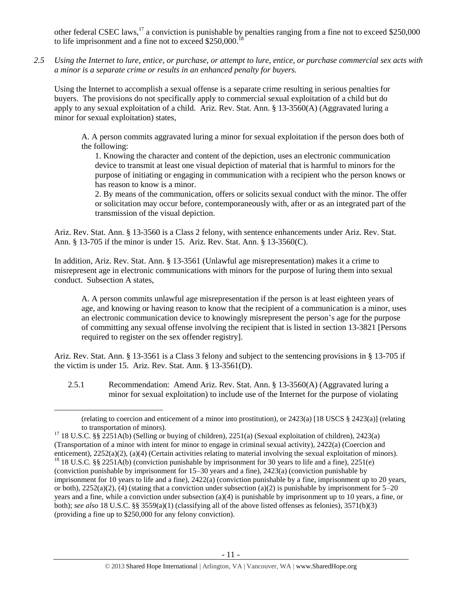other federal CSEC laws,  $^{17}$  a conviction is punishable by penalties ranging from a fine not to exceed \$250,000 to life imprisonment and a fine not to exceed \$250,000.

*2.5 Using the Internet to lure, entice, or purchase, or attempt to lure, entice, or purchase commercial sex acts with a minor is a separate crime or results in an enhanced penalty for buyers.*

Using the Internet to accomplish a sexual offense is a separate crime resulting in serious penalties for buyers. The provisions do not specifically apply to commercial sexual exploitation of a child but do apply to any sexual exploitation of a child. Ariz. Rev. Stat. Ann. § 13-3560(A) (Aggravated luring a minor for sexual exploitation) states,

A. A person commits aggravated luring a minor for sexual exploitation if the person does both of the following:

1. Knowing the character and content of the depiction, uses an electronic communication device to transmit at least one visual depiction of material that is harmful to minors for the purpose of initiating or engaging in communication with a recipient who the person knows or has reason to know is a minor.

2. By means of the communication, offers or solicits sexual conduct with the minor. The offer or solicitation may occur before, contemporaneously with, after or as an integrated part of the transmission of the visual depiction.

Ariz. Rev. Stat. Ann. § 13-3560 is a Class 2 felony, with sentence enhancements under Ariz. Rev. Stat. Ann. § 13-705 if the minor is under 15. Ariz. Rev. Stat. Ann. § 13-3560(C).

In addition, Ariz. Rev. Stat. Ann. § 13-3561 (Unlawful age misrepresentation) makes it a crime to misrepresent age in electronic communications with minors for the purpose of luring them into sexual conduct. Subsection A states,

A. A person commits unlawful age misrepresentation if the person is at least eighteen years of age, and knowing or having reason to know that the recipient of a communication is a minor, uses an electronic communication device to knowingly misrepresent the person's age for the purpose of committing any sexual offense involving the recipient that is listed in [section 13-3821](https://www.lexis.com/research/buttonTFLink?_m=090cb2535ee035315844633f6dc755af&_xfercite=%3ccite%20cc%3d%22USA%22%3e%3c%21%5bCDATA%5bA.R.S.%20%a7%2013-3561%5d%5d%3e%3c%2fcite%3e&_butType=4&_butStat=0&_butNum=2&_butInline=1&_butinfo=AZCODE%2013-3821&_fmtstr=FULL&docnum=1&_startdoc=1&wchp=dGLzVlz-zSkAz&_md5=79822e9548f774d4abd7be509d74901f) [Persons required to register on the sex offender registry].

Ariz. Rev. Stat. Ann. § 13-3561 is a Class 3 felony and subject to the sentencing provisions in § 13-705 if the victim is under 15. Ariz. Rev. Stat. Ann. § 13-3561(D).

2.5.1 Recommendation: Amend Ariz. Rev. Stat. Ann. § 13-3560(A) (Aggravated luring a minor for sexual exploitation) to include use of the Internet for the purpose of violating

<sup>(</sup>relating to coercion and enticement of a minor into prostitution), or 2423(a) [18 USCS § 2423(a)] (relating to transportation of minors).

<sup>&</sup>lt;sup>17</sup> 18 U.S.C. §§ 2251A(b) (Selling or buying of children), 2251(a) (Sexual exploitation of children), 2423(a) (Transportation of a minor with intent for minor to engage in criminal sexual activity), 2422(a) (Coercion and enticement), 2252(a)(2), (a)(4) (Certain activities relating to material involving the sexual exploitation of minors). <sup>18</sup> 18 U.S.C. §§ 2251A(b) (conviction punishable by imprisonment for 30 years to life and a fine), 2251(e) (conviction punishable by imprisonment for 15–30 years and a fine), 2423(a) (conviction punishable by imprisonment for 10 years to life and a fine), 2422(a) (conviction punishable by a fine, imprisonment up to 20 years, or both),  $2252(a)(2)$ , (4) (stating that a conviction under subsection (a)(2) is punishable by imprisonment for  $5-20$ years and a fine, while a conviction under subsection (a)(4) is punishable by imprisonment up to 10 years, a fine, or both); *see also* 18 U.S.C. §§ 3559(a)(1) (classifying all of the above listed offenses as felonies), 3571(b)(3) (providing a fine up to \$250,000 for any felony conviction).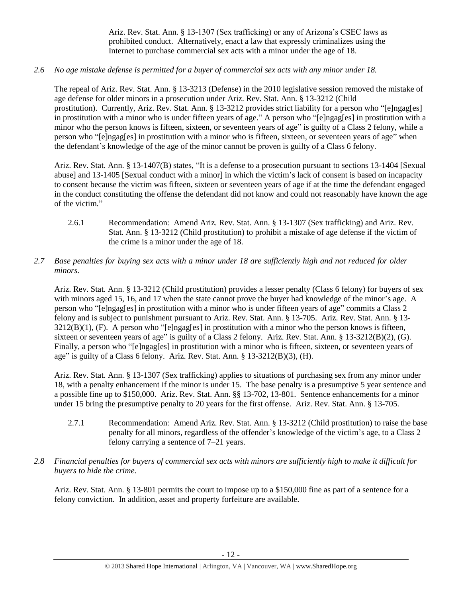Ariz. Rev. Stat. Ann. § 13-1307 (Sex trafficking) or any of Arizona's CSEC laws as prohibited conduct. Alternatively, enact a law that expressly criminalizes using the Internet to purchase commercial sex acts with a minor under the age of 18.

*2.6 No age mistake defense is permitted for a buyer of commercial sex acts with any minor under 18.*

The repeal of Ariz. Rev. Stat. Ann. § 13-3213 (Defense) in the 2010 legislative session removed the mistake of age defense for older minors in a prosecution under Ariz. Rev. Stat. Ann. § 13-3212 (Child prostitution). Currently, Ariz. Rev. Stat. Ann. § 13-3212 provides strict liability for a person who "[e]ngag[es] in prostitution with a minor who is under fifteen years of age." A person who "[e]ngag[es] in prostitution with a minor who the person knows is fifteen, sixteen, or seventeen years of age" is guilty of a Class 2 felony, while a person who "[e]ngag[es] in prostitution with a minor who is fifteen, sixteen, or seventeen years of age" when the defendant's knowledge of the age of the minor cannot be proven is guilty of a Class 6 felony.

Ariz. Rev. Stat. Ann. § 13-1407(B) states, "It is a defense to a prosecution pursuant to sections 13-1404 [Sexual abuse] and 13-1405 [Sexual conduct with a minor] in which the victim's lack of consent is based on incapacity to consent because the victim was fifteen, sixteen or seventeen years of age if at the time the defendant engaged in the conduct constituting the offense the defendant did not know and could not reasonably have known the age of the victim."

- 2.6.1 Recommendation: Amend Ariz. Rev. Stat. Ann. § 13-1307 (Sex trafficking) and Ariz. Rev. Stat. Ann. § 13-3212 (Child prostitution) to prohibit a mistake of age defense if the victim of the crime is a minor under the age of 18.
- *2.7 Base penalties for buying sex acts with a minor under 18 are sufficiently high and not reduced for older minors.*

Ariz. Rev. Stat. Ann. § 13-3212 (Child prostitution) provides a lesser penalty (Class 6 felony) for buyers of sex with minors aged 15, 16, and 17 when the state cannot prove the buyer had knowledge of the minor's age. A person who "[e]ngag[es] in prostitution with a minor who is under fifteen years of age" commits a Class 2 felony and is subject to punishment pursuant to Ariz. Rev. Stat. Ann. § 13-705. Ariz. Rev. Stat. Ann. § 13- 3212(B)(1), (F). A person who "[e]ngag[es] in prostitution with a minor who the person knows is fifteen, sixteen or seventeen years of age" is guilty of a Class 2 felony. Ariz. Rev. Stat. Ann. § 13-3212(B)(2), (G). Finally, a person who "[e]ngag[es] in prostitution with a minor who is fifteen, sixteen, or seventeen years of age" is guilty of a Class 6 felony. Ariz. Rev. Stat. Ann. § 13-3212(B)(3), (H).

Ariz. Rev. Stat. Ann. § 13-1307 (Sex trafficking) applies to situations of purchasing sex from any minor under 18, with a penalty enhancement if the minor is under 15. The base penalty is a presumptive 5 year sentence and a possible fine up to \$150,000. Ariz. Rev. Stat. Ann. §§ 13-702, 13-801. Sentence enhancements for a minor under 15 bring the presumptive penalty to 20 years for the first offense. Ariz. Rev. Stat. Ann. § 13-705.

- 2.7.1 Recommendation: Amend Ariz. Rev. Stat. Ann. § 13-3212 (Child prostitution) to raise the base penalty for all minors, regardless of the offender's knowledge of the victim's age, to a Class 2 felony carrying a sentence of 7–21 years.
- *2.8 Financial penalties for buyers of commercial sex acts with minors are sufficiently high to make it difficult for buyers to hide the crime.*

Ariz. Rev. Stat. Ann. § 13-801 permits the court to impose up to a \$150,000 fine as part of a sentence for a felony conviction. In addition, asset and property forfeiture are available.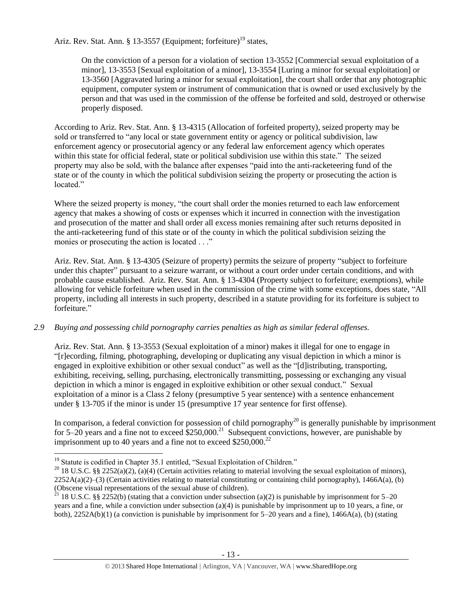Ariz. Rev. Stat. Ann. § 13-3557 (Equipment; forfeiture)<sup>19</sup> states,

On the conviction of a person for a violation of section 13-3552 [Commercial sexual exploitation of a minor], 13-3553 [Sexual exploitation of a minor], 13-3554 [Luring a minor for sexual exploitation] or 13-3560 [Aggravated luring a minor for sexual exploitation], the court shall order that any photographic equipment, computer system or instrument of communication that is owned or used exclusively by the person and that was used in the commission of the offense be forfeited and sold, destroyed or otherwise properly disposed.

According to Ariz. Rev. Stat. Ann. § 13-4315 (Allocation of forfeited property), seized property may be sold or transferred to "any local or state government entity or agency or political subdivision, law enforcement agency or prosecutorial agency or any federal law enforcement agency which operates within this state for official federal, state or political subdivision use within this state." The seized property may also be sold, with the balance after expenses "paid into the anti-racketeering fund of the state or of the county in which the political subdivision seizing the property or prosecuting the action is located"

Where the seized property is money, "the court shall order the monies returned to each law enforcement agency that makes a showing of costs or expenses which it incurred in connection with the investigation and prosecution of the matter and shall order all excess monies remaining after such returns deposited in the anti-racketeering fund of this state or of the county in which the political subdivision seizing the monies or prosecuting the action is located . . ."

Ariz. Rev. Stat. Ann. § 13-4305 (Seizure of property) permits the seizure of property "subject to forfeiture under this chapter" pursuant to a seizure warrant, or without a court order under certain conditions, and with probable cause established. Ariz. Rev. Stat. Ann. § 13-4304 (Property subject to forfeiture; exemptions), while allowing for vehicle forfeiture when used in the commission of the crime with some exceptions, does state, "All property, including all interests in such property, described in a statute providing for its forfeiture is subject to forfeiture."

# *2.9 Buying and possessing child pornography carries penalties as high as similar federal offenses.*

Ariz. Rev. Stat. Ann. § 13-3553 (Sexual exploitation of a minor) makes it illegal for one to engage in "[r]ecording, filming, photographing, developing or duplicating any visual depiction in which a minor is engaged in exploitive exhibition or other sexual conduct" as well as the "[d]istributing, transporting, exhibiting, receiving, selling, purchasing, electronically transmitting, possessing or exchanging any visual depiction in which a minor is engaged in exploitive exhibition or other sexual conduct." Sexual exploitation of a minor is a Class 2 felony (presumptive 5 year sentence) with a sentence enhancement under § 13-705 if the minor is under 15 (presumptive 17 year sentence for first offense).

In comparison, a federal conviction for possession of child pornography<sup>20</sup> is generally punishable by imprisonment for 5–20 years and a fine not to exceed  $$250,000.<sup>21</sup>$  Subsequent convictions, however, are punishable by imprisonment up to 40 years and a fine not to exceed  $$250,000.<sup>22</sup>$ 

<sup>&</sup>lt;sup>19</sup> Statute is codified in Chapter 35.1 entitled, "Sexual Exploitation of Children."

<sup>&</sup>lt;sup>20</sup> 18 U.S.C. §§ 2252(a)(2), (a)(4) (Certain activities relating to material involving the sexual exploitation of minors),  $2252A(a)(2)$ –(3) (Certain activities relating to material constituting or containing child pornography), 1466A(a), (b) (Obscene visual representations of the sexual abuse of children).

<sup>&</sup>lt;sup>21</sup> 18 U.S.C. §§ 2252(b) (stating that a conviction under subsection (a)(2) is punishable by imprisonment for 5–20 years and a fine, while a conviction under subsection (a)(4) is punishable by imprisonment up to 10 years, a fine, or both), 2252A(b)(1) (a conviction is punishable by imprisonment for 5–20 years and a fine), 1466A(a), (b) (stating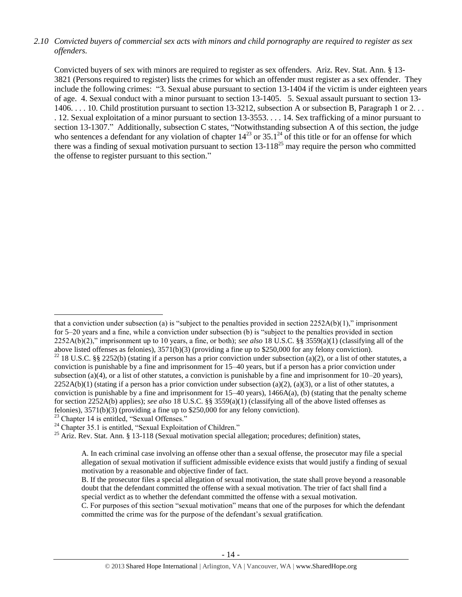# *2.10 Convicted buyers of commercial sex acts with minors and child pornography are required to register as sex offenders.*

Convicted buyers of sex with minors are required to register as sex offenders. Ariz. Rev. Stat. Ann. § 13- 3821 (Persons required to register) lists the crimes for which an offender must register as a sex offender. They include the following crimes: "3. Sexual abuse pursuant to section 13-1404 if the victim is under eighteen years of age. 4. Sexual conduct with a minor pursuant to section 13-1405. 5. Sexual assault pursuant to section 13- 1406. . . . 10. Child prostitution pursuant to section 13-3212, subsection A or subsection B, Paragraph 1 or 2. . . . 12. Sexual exploitation of a minor pursuant to section 13-3553. . . . 14. Sex trafficking of a minor pursuant to section 13-1307." Additionally, subsection C states, "Notwithstanding subsection A of this section, the judge who sentences a defendant for any violation of chapter  $14^{23}$  or  $35.1^{24}$  of this title or for an offense for which there was a finding of sexual motivation pursuant to section  $13-118^{25}$  may require the person who committed the offense to register pursuant to this section."

<sup>23</sup> Chapter 14 is entitled, "Sexual Offenses."

that a conviction under subsection (a) is "subject to the penalties provided in section 2252A(b)(1)," imprisonment for 5–20 years and a fine, while a conviction under subsection (b) is "subject to the penalties provided in section 2252A(b)(2)," imprisonment up to 10 years, a fine, or both); *see also* 18 U.S.C. §§ 3559(a)(1) (classifying all of the above listed offenses as felonies), 3571(b)(3) (providing a fine up to \$250,000 for any felony conviction). <sup>22</sup> 18 U.S.C. §§ 2252(b) (stating if a person has a prior conviction under subsection (a)(2), or a list of other statutes, a conviction is punishable by a fine and imprisonment for 15–40 years, but if a person has a prior conviction under subsection (a)(4), or a list of other statutes, a conviction is punishable by a fine and imprisonment for  $10-20$  years),  $2252A(b)(1)$  (stating if a person has a prior conviction under subsection (a)(2), (a)(3), or a list of other statutes, a conviction is punishable by a fine and imprisonment for  $15-40$  years),  $1466A(a)$ , (b) (stating that the penalty scheme for section 2252A(b) applies); *see also* 18 U.S.C. §§ 3559(a)(1) (classifying all of the above listed offenses as felonies), 3571(b)(3) (providing a fine up to \$250,000 for any felony conviction).

<sup>&</sup>lt;sup>24</sup> Chapter 35.1 is entitled, "Sexual Exploitation of Children."

 $25$  Ariz. Rev. Stat. Ann. § 13-118 (Sexual motivation special allegation; procedures; definition) states,

A. In each criminal case involving an offense other than a sexual offense, the prosecutor may file a special allegation of sexual motivation if sufficient admissible evidence exists that would justify a finding of sexual motivation by a reasonable and objective finder of fact.

B. If the prosecutor files a special allegation of sexual motivation, the state shall prove beyond a reasonable doubt that the defendant committed the offense with a sexual motivation. The trier of fact shall find a special verdict as to whether the defendant committed the offense with a sexual motivation.

C. For purposes of this section "sexual motivation" means that one of the purposes for which the defendant committed the crime was for the purpose of the defendant's sexual gratification.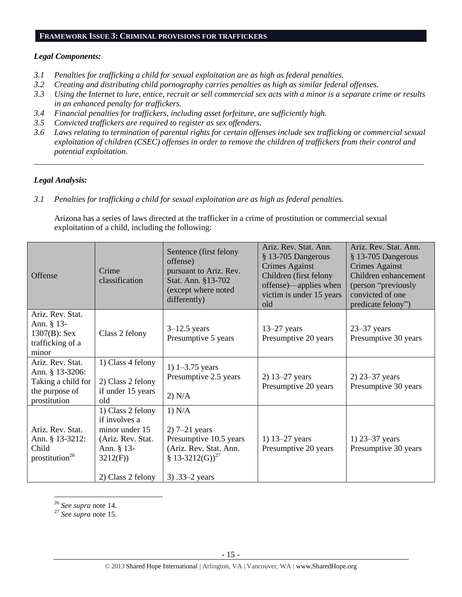#### **FRAMEWORK ISSUE 3: CRIMINAL PROVISIONS FOR TRAFFICKERS**

## *Legal Components:*

- *3.1 Penalties for trafficking a child for sexual exploitation are as high as federal penalties.*
- *3.2 Creating and distributing child pornography carries penalties as high as similar federal offenses.*
- *3.3 Using the Internet to lure, entice, recruit or sell commercial sex acts with a minor is a separate crime or results in an enhanced penalty for traffickers.*
- *3.4 Financial penalties for traffickers, including asset forfeiture, are sufficiently high.*
- *3.5 Convicted traffickers are required to register as sex offenders.*
- *3.6 Laws relating to termination of parental rights for certain offenses include sex trafficking or commercial sexual exploitation of children (CSEC) offenses in order to remove the children of traffickers from their control and potential exploitation.*

*\_\_\_\_\_\_\_\_\_\_\_\_\_\_\_\_\_\_\_\_\_\_\_\_\_\_\_\_\_\_\_\_\_\_\_\_\_\_\_\_\_\_\_\_\_\_\_\_\_\_\_\_\_\_\_\_\_\_\_\_\_\_\_\_\_\_\_\_\_\_\_\_\_\_\_\_\_\_\_\_\_\_\_\_\_\_\_\_\_\_\_\_\_\_*

# *Legal Analysis:*

*3.1 Penalties for trafficking a child for sexual exploitation are as high as federal penalties.* 

Arizona has a series of laws directed at the trafficker in a crime of prostitution or commercial sexual exploitation of a child, including the following:

| Offense                                                                                     | Crime<br>classification                                                                                                 | Sentence (first felony<br>offense)<br>pursuant to Ariz. Rev.<br>Stat. Ann. §13-702<br>(except where noted<br>differently)          | Ariz. Rev. Stat. Ann.<br>§ 13-705 Dangerous<br><b>Crimes Against</b><br>Children (first felony<br>offense)—applies when<br>victim is under 15 years<br>old | Ariz. Rev. Stat. Ann.<br>§ 13-705 Dangerous<br><b>Crimes Against</b><br>Children enhancement<br>(person "previously<br>convicted of one<br>predicate felony") |
|---------------------------------------------------------------------------------------------|-------------------------------------------------------------------------------------------------------------------------|------------------------------------------------------------------------------------------------------------------------------------|------------------------------------------------------------------------------------------------------------------------------------------------------------|---------------------------------------------------------------------------------------------------------------------------------------------------------------|
| Ariz. Rev. Stat.<br>Ann. § 13-<br>$1307(B)$ : Sex<br>trafficking of a<br>minor              | Class 2 felony                                                                                                          | $3-12.5$ years<br>Presumptive 5 years                                                                                              | $13-27$ years<br>Presumptive 20 years                                                                                                                      | $23 - 37$ years<br>Presumptive 30 years                                                                                                                       |
| Ariz. Rev. Stat.<br>Ann. § 13-3206:<br>Taking a child for<br>the purpose of<br>prostitution | 1) Class 4 felony<br>2) Class 2 felony<br>if under 15 years<br>old                                                      | 1) $1 - 3.75$ years<br>Presumptive 2.5 years<br>2) N/A                                                                             | 2) 13–27 years<br>Presumptive 20 years                                                                                                                     | 2) 23–37 years<br>Presumptive 30 years                                                                                                                        |
| Ariz. Rev. Stat.<br>Ann. § 13-3212:<br>Child<br>prostitution <sup>26</sup>                  | 1) Class 2 felony<br>if involves a<br>minor under 15<br>(Ariz. Rev. Stat.<br>Ann. § 13-<br>3212(F)<br>2) Class 2 felony | 1) N/A<br>$2)$ 7–21 years<br>Presumptive 10.5 years<br>(Ariz. Rev. Stat. Ann.<br>§ 13-3212(G)) <sup>27</sup><br>3) $.33 - 2$ years | 1) $13 - 27$ years<br>Presumptive 20 years                                                                                                                 | 1) $23 - 37$ years<br>Presumptive 30 years                                                                                                                    |

<sup>26</sup> *See supra* note [14.](#page-8-0)

 $\overline{a}$ 

<sup>27</sup> *See supra* note [15.](#page-8-1)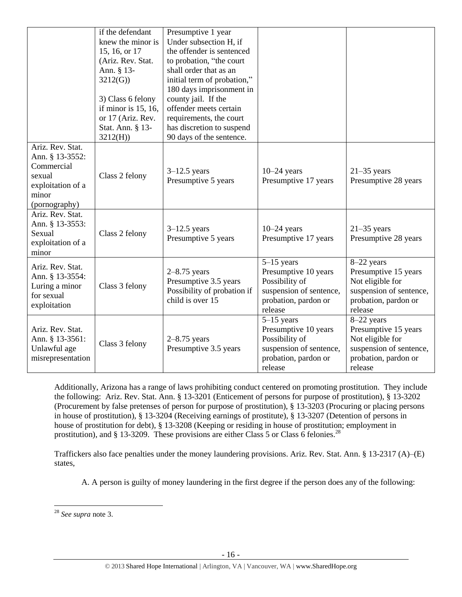|                                                                                                            | if the defendant<br>knew the minor is<br>15, 16, or 17<br>(Ariz. Rev. Stat.<br>Ann. § 13-<br>3212(G)<br>3) Class 6 felony<br>if minor is $15$ , $16$ ,<br>or 17 (Ariz. Rev.<br>Stat. Ann. § 13-<br>3212(H) | Presumptive 1 year<br>Under subsection H, if<br>the offender is sentenced<br>to probation, "the court<br>shall order that as an<br>initial term of probation,"<br>180 days imprisonment in<br>county jail. If the<br>offender meets certain<br>requirements, the court<br>has discretion to suspend<br>90 days of the sentence. |                                                                                                                      |                                                                                                                      |
|------------------------------------------------------------------------------------------------------------|------------------------------------------------------------------------------------------------------------------------------------------------------------------------------------------------------------|---------------------------------------------------------------------------------------------------------------------------------------------------------------------------------------------------------------------------------------------------------------------------------------------------------------------------------|----------------------------------------------------------------------------------------------------------------------|----------------------------------------------------------------------------------------------------------------------|
| Ariz. Rev. Stat.<br>Ann. § 13-3552:<br>Commercial<br>sexual<br>exploitation of a<br>minor<br>(pornography) | Class 2 felony                                                                                                                                                                                             | $3-12.5$ years<br>Presumptive 5 years                                                                                                                                                                                                                                                                                           | $10-24$ years<br>Presumptive 17 years                                                                                | $21-35$ years<br>Presumptive 28 years                                                                                |
| Ariz. Rev. Stat.<br>Ann. § 13-3553:<br>Sexual<br>exploitation of a<br>minor                                | Class 2 felony                                                                                                                                                                                             | $3-12.5$ years<br>Presumptive 5 years                                                                                                                                                                                                                                                                                           | $10-24$ years<br>Presumptive 17 years                                                                                | $21-35$ years<br>Presumptive 28 years                                                                                |
| Ariz. Rev. Stat.<br>Ann. § 13-3554:<br>Luring a minor<br>for sexual<br>exploitation                        | Class 3 felony                                                                                                                                                                                             | $2-8.75$ years<br>Presumptive 3.5 years<br>Possibility of probation if<br>child is over 15                                                                                                                                                                                                                                      | $5-15$ years<br>Presumptive 10 years<br>Possibility of<br>suspension of sentence,<br>probation, pardon or<br>release | 8-22 years<br>Presumptive 15 years<br>Not eligible for<br>suspension of sentence,<br>probation, pardon or<br>release |
| Ariz. Rev. Stat.<br>Ann. § 13-3561:<br>Unlawful age<br>misrepresentation                                   | Class 3 felony                                                                                                                                                                                             | $2-8.75$ years<br>Presumptive 3.5 years                                                                                                                                                                                                                                                                                         | $5-15$ years<br>Presumptive 10 years<br>Possibility of<br>suspension of sentence,<br>probation, pardon or<br>release | 8-22 years<br>Presumptive 15 years<br>Not eligible for<br>suspension of sentence,<br>probation, pardon or<br>release |

Additionally, Arizona has a range of laws prohibiting conduct centered on promoting prostitution. They include the following: Ariz. Rev. Stat. Ann. § 13-3201 (Enticement of persons for purpose of prostitution), § 13-3202 (Procurement by false pretenses of person for purpose of prostitution), § 13-3203 (Procuring or placing persons in house of prostitution), § 13-3204 (Receiving earnings of prostitute), § 13-3207 (Detention of persons in house of prostitution for debt), § 13-3208 (Keeping or residing in house of prostitution; employment in prostitution), and  $\S$  13-3209. These provisions are either Class 5 or Class 6 felonies.<sup>28</sup>

Traffickers also face penalties under the money laundering provisions. Ariz. Rev. Stat. Ann. § 13-2317 (A)–(E) states,

A. A person is guilty of money laundering in the first degree if the person does any of the following:

<sup>28</sup> *See supra* note [3.](#page-1-0)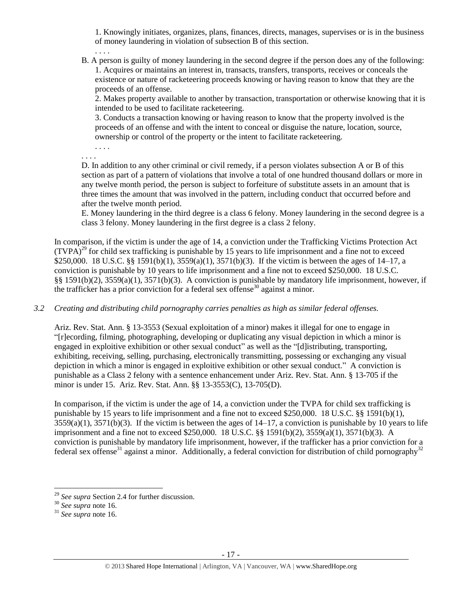1. Knowingly initiates, organizes, plans, finances, directs, manages, supervises or is in the business of money laundering in violation of subsection B of this section.

B. A person is guilty of money laundering in the second degree if the person does any of the following: 1. Acquires or maintains an interest in, transacts, transfers, transports, receives or conceals the existence or nature of racketeering proceeds knowing or having reason to know that they are the proceeds of an offense.

2. Makes property available to another by transaction, transportation or otherwise knowing that it is intended to be used to facilitate racketeering.

3. Conducts a transaction knowing or having reason to know that the property involved is the proceeds of an offense and with the intent to conceal or disguise the nature, location, source, ownership or control of the property or the intent to facilitate racketeering.

. . . .

. . . .

. . . .

D. In addition to any other criminal or civil remedy, if a person violates subsection A or B of this section as part of a pattern of violations that involve a total of one hundred thousand dollars or more in any twelve month period, the person is subject to forfeiture of substitute assets in an amount that is three times the amount that was involved in the pattern, including conduct that occurred before and after the twelve month period.

E. Money laundering in the third degree is a class 6 felony. Money laundering in the second degree is a class 3 felony. Money laundering in the first degree is a class 2 felony.

In comparison, if the victim is under the age of 14, a conviction under the Trafficking Victims Protection Act  $(TVPA)^{29}$  for child sex trafficking is punishable by 15 years to life imprisonment and a fine not to exceed \$250,000. 18 U.S.C. §§ 1591(b)(1), 3559(a)(1), 3571(b)(3). If the victim is between the ages of 14–17, a conviction is punishable by 10 years to life imprisonment and a fine not to exceed \$250,000. 18 U.S.C. §§ 1591(b)(2), 3559(a)(1), 3571(b)(3). A conviction is punishable by mandatory life imprisonment, however, if the trafficker has a prior conviction for a federal sex offense<sup>30</sup> against a minor.

*3.2 Creating and distributing child pornography carries penalties as high as similar federal offenses.*

Ariz. Rev. Stat. Ann. § 13-3553 (Sexual exploitation of a minor) makes it illegal for one to engage in "[r]ecording, filming, photographing, developing or duplicating any visual depiction in which a minor is engaged in exploitive exhibition or other sexual conduct" as well as the "[d]istributing, transporting, exhibiting, receiving, selling, purchasing, electronically transmitting, possessing or exchanging any visual depiction in which a minor is engaged in exploitive exhibition or other sexual conduct." A conviction is punishable as a Class 2 felony with a sentence enhancement under Ariz. Rev. Stat. Ann. § 13-705 if the minor is under 15. Ariz. Rev. Stat. Ann. §§ 13-3553(C), 13-705(D).

In comparison, if the victim is under the age of 14, a conviction under the TVPA for child sex trafficking is punishable by 15 years to life imprisonment and a fine not to exceed \$250,000. 18 U.S.C. §§ 1591(b)(1),  $3559(a)(1)$ ,  $3571(b)(3)$ . If the victim is between the ages of  $14-17$ , a conviction is punishable by 10 years to life imprisonment and a fine not to exceed \$250,000. 18 U.S.C. §§ 1591(b)(2), 3559(a)(1), 3571(b)(3). A conviction is punishable by mandatory life imprisonment, however, if the trafficker has a prior conviction for a federal sex offense<sup>31</sup> against a minor. Additionally, a federal conviction for distribution of child pornography<sup>32</sup>

<sup>29</sup> *See supra* Section 2.4 for further discussion.

<sup>30</sup> *See supra* note [16.](#page-9-0)

<sup>31</sup> *See supra* note [16.](#page-9-0)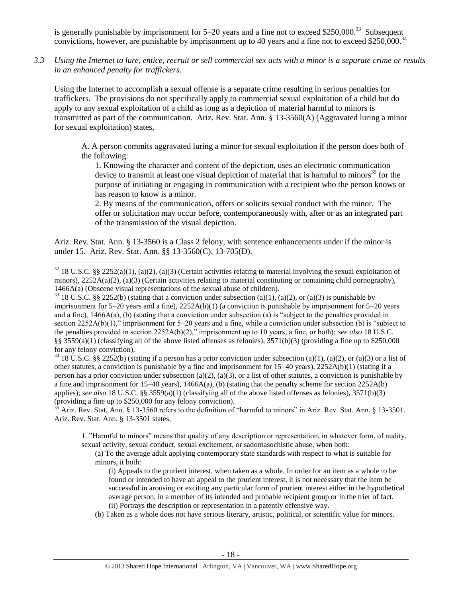is generally punishable by imprisonment for  $5-20$  years and a fine not to exceed \$250,000.<sup>33</sup> Subsequent convictions, however, are punishable by imprisonment up to 40 years and a fine not to exceed \$250,000.<sup>34</sup>

*3.3 Using the Internet to lure, entice, recruit or sell commercial sex acts with a minor is a separate crime or results in an enhanced penalty for traffickers.*

Using the Internet to accomplish a sexual offense is a separate crime resulting in serious penalties for traffickers. The provisions do not specifically apply to commercial sexual exploitation of a child but do apply to any sexual exploitation of a child as long as a depiction of material harmful to minors is transmitted as part of the communication. Ariz. Rev. Stat. Ann. § 13-3560(A) (Aggravated luring a minor for sexual exploitation) states,

A. A person commits aggravated luring a minor for sexual exploitation if the person does both of the following:

1. Knowing the character and content of the depiction, uses an electronic communication device to transmit at least one visual depiction of material that is harmful to minors<sup>35</sup> for the purpose of initiating or engaging in communication with a recipient who the person knows or has reason to know is a minor.

2. By means of the communication, offers or solicits sexual conduct with the minor. The offer or solicitation may occur before, contemporaneously with, after or as an integrated part of the transmission of the visual depiction.

Ariz. Rev. Stat. Ann. § 13-3560 is a Class 2 felony, with sentence enhancements under if the minor is under 15. Ariz. Rev. Stat. Ann. §§ 13-3560(C), 13-705(D).

 $\overline{a}$ 

<sup>33</sup> 18 U.S.C. §§ 2252(b) (stating that a conviction under subsection (a)(1), (a)(2), or (a)(3) is punishable by imprisonment for 5–20 years and a fine), 2252A(b)(1) (a conviction is punishable by imprisonment for 5–20 years and a fine),  $1466A(a)$ , (b) (stating that a conviction under subsection (a) is "subject to the penalties provided in section 2252A(b)(1)," imprisonment for 5–20 years and a fine, while a conviction under subsection (b) is "subject to the penalties provided in section 2252A(b)(2)," imprisonment up to 10 years, a fine, or both); *see also* 18 U.S.C. §§ 3559(a)(1) (classifying all of the above listed offenses as felonies),  $3571(b)(3)$  (providing a fine up to \$250,000 for any felony conviction).

<sup>34</sup> 18 U.S.C. §§ 2252(b) (stating if a person has a prior conviction under subsection (a)(1), (a)(2), or (a)(3) or a list of other statutes, a conviction is punishable by a fine and imprisonment for  $15-40$  years),  $2252A(b)(1)$  (stating if a person has a prior conviction under subsection (a)(2), (a)(3), or a list of other statutes, a conviction is punishable by a fine and imprisonment for  $15-40$  years),  $1466A(a)$ , (b) (stating that the penalty scheme for section  $2252A(b)$ applies); *see also* 18 U.S.C. §§ 3559(a)(1) (classifying all of the above listed offenses as felonies), 3571(b)(3) (providing a fine up to \$250,000 for any felony conviction).

 $3\overline{5}$  Ariz. Rev. Stat. Ann. § 13-3560 refers to the definition of "harmful to minors" in Ariz. Rev. Stat. Ann. § 13-3501. Ariz. Rev. Stat. Ann. § 13-3501 states,

1. "Harmful to minors" means that quality of any description or representation, in whatever form, of nudity, sexual activity, sexual conduct, sexual excitement, or sadomasochistic abuse, when both:

(a) To the average adult applying contemporary state standards with respect to what is suitable for minors, it both:

- (i) Appeals to the prurient interest, when taken as a whole. In order for an item as a whole to be found or intended to have an appeal to the prurient interest, it is not necessary that the item be successful in arousing or exciting any particular form of prurient interest either in the hypothetical average person, in a member of its intended and probable recipient group or in the trier of fact. (ii) Portrays the description or representation in a patently offensive way.
- (b) Taken as a whole does not have serious literary, artistic, political, or scientific value for minors.

 $32$  18 U.S.C. §§ 2252(a)(1), (a)(2), (a)(3) (Certain activities relating to material involving the sexual exploitation of minors),  $2252A(a)(2)$ , (a)(3) (Certain activities relating to material constituting or containing child pornography), 1466A(a) (Obscene visual representations of the sexual abuse of children).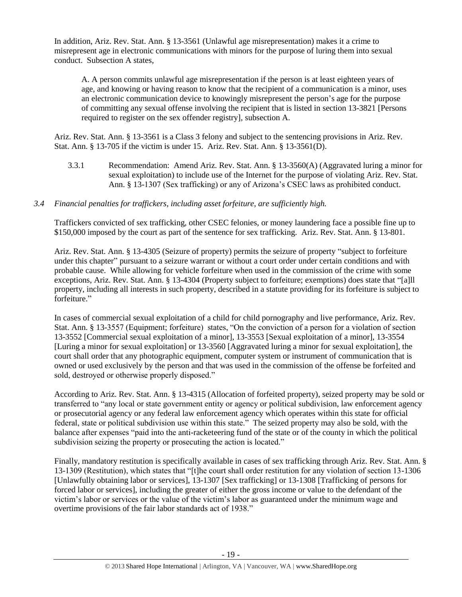In addition, Ariz. Rev. Stat. Ann. § 13-3561 (Unlawful age misrepresentation) makes it a crime to misrepresent age in electronic communications with minors for the purpose of luring them into sexual conduct. Subsection A states,

A. A person commits unlawful age misrepresentation if the person is at least eighteen years of age, and knowing or having reason to know that the recipient of a communication is a minor, uses an electronic communication device to knowingly misrepresent the person's age for the purpose of committing any sexual offense involving the recipient that is listed in [section 13-3821](https://www.lexis.com/research/buttonTFLink?_m=090cb2535ee035315844633f6dc755af&_xfercite=%3ccite%20cc%3d%22USA%22%3e%3c%21%5bCDATA%5bA.R.S.%20%a7%2013-3561%5d%5d%3e%3c%2fcite%3e&_butType=4&_butStat=0&_butNum=2&_butInline=1&_butinfo=AZCODE%2013-3821&_fmtstr=FULL&docnum=1&_startdoc=1&wchp=dGLzVlz-zSkAz&_md5=79822e9548f774d4abd7be509d74901f) [Persons required to register on the sex offender registry], subsection A.

Ariz. Rev. Stat. Ann. § 13-3561 is a Class 3 felony and subject to the sentencing provisions in Ariz. Rev. Stat. Ann. § 13-705 if the victim is under 15. Ariz. Rev. Stat. Ann. § 13-3561(D).

3.3.1 Recommendation: Amend Ariz. Rev. Stat. Ann. § 13-3560(A) (Aggravated luring a minor for sexual exploitation) to include use of the Internet for the purpose of violating Ariz. Rev. Stat. Ann. § 13-1307 (Sex trafficking) or any of Arizona's CSEC laws as prohibited conduct.

# *3.4 Financial penalties for traffickers, including asset forfeiture, are sufficiently high.*

Traffickers convicted of sex trafficking, other CSEC felonies, or money laundering face a possible fine up to \$150,000 imposed by the court as part of the sentence for sex trafficking. Ariz. Rev. Stat. Ann. § 13-801.

Ariz. Rev. Stat. Ann. § 13-4305 (Seizure of property) permits the seizure of property "subject to forfeiture under this chapter" pursuant to a seizure warrant or without a court order under certain conditions and with probable cause. While allowing for vehicle forfeiture when used in the commission of the crime with some exceptions, Ariz. Rev. Stat. Ann. § 13-4304 (Property subject to forfeiture; exemptions) does state that "[a]ll property, including all interests in such property, described in a statute providing for its forfeiture is subject to forfeiture."

In cases of commercial sexual exploitation of a child for child pornography and live performance, Ariz. Rev. Stat. Ann. § 13-3557 (Equipment; forfeiture) states, "On the conviction of a person for a violation of section 13-3552 [Commercial sexual exploitation of a minor], 13-3553 [Sexual exploitation of a minor], 13-3554 [Luring a minor for sexual exploitation] or 13-3560 [Aggravated luring a minor for sexual exploitation], the court shall order that any photographic equipment, computer system or instrument of communication that is owned or used exclusively by the person and that was used in the commission of the offense be forfeited and sold, destroyed or otherwise properly disposed."

According to Ariz. Rev. Stat. Ann. § 13-4315 (Allocation of forfeited property), seized property may be sold or transferred to "any local or state government entity or agency or political subdivision, law enforcement agency or prosecutorial agency or any federal law enforcement agency which operates within this state for official federal, state or political subdivision use within this state." The seized property may also be sold, with the balance after expenses "paid into the anti-racketeering fund of the state or of the county in which the political subdivision seizing the property or prosecuting the action is located."

Finally, mandatory restitution is specifically available in cases of sex trafficking through Ariz. Rev. Stat. Ann. § 13-1309 (Restitution), which states that "[t]he court shall order restitution for any violation of section 13-1306 [Unlawfully obtaining labor or services], 13-1307 [Sex trafficking] or 13-1308 [Trafficking of persons for forced labor or services], including the greater of either the gross income or value to the defendant of the victim's labor or services or the value of the victim's labor as guaranteed under the minimum wage and overtime provisions of the fair labor standards act of 1938."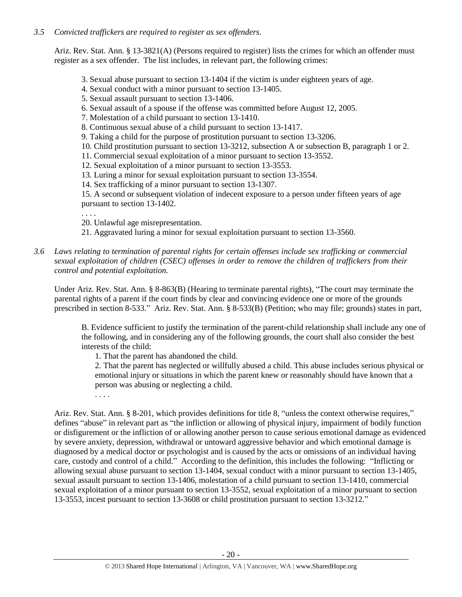# *3.5 Convicted traffickers are required to register as sex offenders.*

Ariz. Rev. Stat. Ann. § 13-3821(A) (Persons required to register) lists the crimes for which an offender must register as a sex offender. The list includes, in relevant part, the following crimes:

- 3. Sexual abuse pursuant to section 13-1404 if the victim is under eighteen years of age.
- 4. Sexual conduct with a minor pursuant to section 13-1405.
- 5. Sexual assault pursuant to section 13-1406.
- 6. Sexual assault of a spouse if the offense was committed before August 12, 2005.
- 7. Molestation of a child pursuant to section 13-1410.
- 8. Continuous sexual abuse of a child pursuant to section 13-1417.
- 9. Taking a child for the purpose of prostitution pursuant to section 13-3206.
- 10. Child prostitution pursuant to section 13-3212, subsection A or subsection B, paragraph 1 or 2.
- 11. Commercial sexual exploitation of a minor pursuant to section 13-3552.
- 12. Sexual exploitation of a minor pursuant to section 13-3553.
- 13. Luring a minor for sexual exploitation pursuant to section 13-3554.
- 14. Sex trafficking of a minor pursuant to section 13-1307.

15. A second or subsequent violation of indecent exposure to a person under fifteen years of age pursuant to section 13-1402.

. . . .

- 20. Unlawful age misrepresentation.
- 21. Aggravated luring a minor for sexual exploitation pursuant to section 13-3560.
- *3.6 Laws relating to termination of parental rights for certain offenses include sex trafficking or commercial sexual exploitation of children (CSEC) offenses in order to remove the children of traffickers from their control and potential exploitation.*

Under Ariz. Rev. Stat. Ann. § 8-863(B) (Hearing to terminate parental rights), "The court may terminate the parental rights of a parent if the court finds by clear and convincing evidence one or more of the grounds prescribed in section 8-533." Ariz. Rev. Stat. Ann. § 8-533(B) (Petition; who may file; grounds) states in part,

B. Evidence sufficient to justify the termination of the parent-child relationship shall include any one of the following, and in considering any of the following grounds, the court shall also consider the best interests of the child:

1. That the parent has abandoned the child.

2. That the parent has neglected or willfully abused a child. This abuse includes serious physical or emotional injury or situations in which the parent knew or reasonably should have known that a person was abusing or neglecting a child.

. . . .

Ariz. Rev. Stat. Ann. § 8-201, which provides definitions for title 8, "unless the context otherwise requires," defines "abuse" in relevant part as "the infliction or allowing of physical injury, impairment of bodily function or disfigurement or the infliction of or allowing another person to cause serious emotional damage as evidenced by severe anxiety, depression, withdrawal or untoward aggressive behavior and which emotional damage is diagnosed by a medical doctor or psychologist and is caused by the acts or omissions of an individual having care, custody and control of a child." According to the definition, this includes the following: "Inflicting or allowing sexual abuse pursuant to section 13-1404, sexual conduct with a minor pursuant to section 13-1405, sexual assault pursuant to section 13-1406, molestation of a child pursuant to section 13-1410, commercial sexual exploitation of a minor pursuant to section 13-3552, sexual exploitation of a minor pursuant to section 13-3553, incest pursuant to section 13-3608 or child prostitution pursuant to section 13-3212."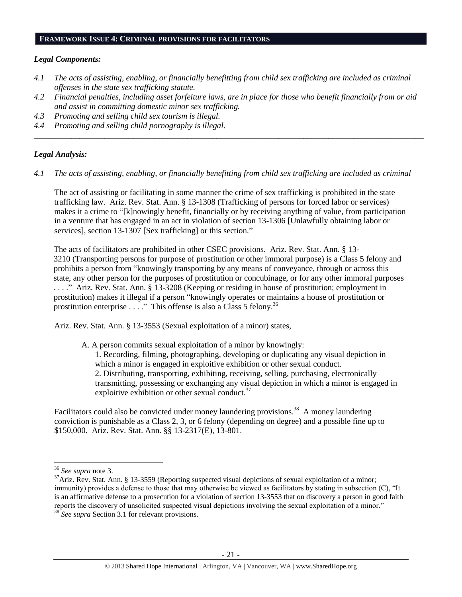#### **FRAMEWORK ISSUE 4: CRIMINAL PROVISIONS FOR FACILITATORS**

#### *Legal Components:*

- *4.1 The acts of assisting, enabling, or financially benefitting from child sex trafficking are included as criminal offenses in the state sex trafficking statute.*
- *4.2 Financial penalties, including asset forfeiture laws, are in place for those who benefit financially from or aid and assist in committing domestic minor sex trafficking.*

*\_\_\_\_\_\_\_\_\_\_\_\_\_\_\_\_\_\_\_\_\_\_\_\_\_\_\_\_\_\_\_\_\_\_\_\_\_\_\_\_\_\_\_\_\_\_\_\_\_\_\_\_\_\_\_\_\_\_\_\_\_\_\_\_\_\_\_\_\_\_\_\_\_\_\_\_\_\_\_\_\_\_\_\_\_\_\_\_\_\_\_\_\_\_*

- *4.3 Promoting and selling child sex tourism is illegal.*
- *4.4 Promoting and selling child pornography is illegal.*

#### *Legal Analysis:*

*4.1 The acts of assisting, enabling, or financially benefitting from child sex trafficking are included as criminal* 

The act of assisting or facilitating in some manner the crime of sex trafficking is prohibited in the state trafficking law. Ariz. Rev. Stat. Ann. § 13-1308 (Trafficking of persons for forced labor or services) makes it a crime to "[k]nowingly benefit, financially or by receiving anything of value, from participation in a venture that has engaged in an act in violation of section 13-1306 [Unlawfully obtaining labor or services], section 13-1307 [Sex trafficking] or this section."

The acts of facilitators are prohibited in other CSEC provisions. Ariz. Rev. Stat. Ann. § 13- 3210 (Transporting persons for purpose of prostitution or other immoral purpose) is a Class 5 felony and prohibits a person from "knowingly transporting by any means of conveyance, through or across this state, any other person for the purposes of prostitution or concubinage, or for any other immoral purposes . . . ." Ariz. Rev. Stat. Ann. § 13-3208 (Keeping or residing in house of prostitution; employment in prostitution) makes it illegal if a person "knowingly operates or maintains a house of prostitution or prostitution enterprise  $\ldots$ ." This offense is also a Class 5 felony.<sup>36</sup>

Ariz. Rev. Stat. Ann. § 13-3553 (Sexual exploitation of a minor) states,

A. A person commits sexual exploitation of a minor by knowingly: 1. Recording, filming, photographing, developing or duplicating any visual depiction in which a minor is engaged in exploitive exhibition or other sexual conduct.

2. Distributing, transporting, exhibiting, receiving, selling, purchasing, electronically transmitting, possessing or exchanging any visual depiction in which a minor is engaged in exploitive exhibition or other sexual conduct. $37$ 

Facilitators could also be convicted under money laundering provisions.<sup>38</sup> A money laundering conviction is punishable as a Class 2, 3, or 6 felony (depending on degree) and a possible fine up to \$150,000. Ariz. Rev. Stat. Ann. §§ 13-2317(E), 13-801.

<sup>36</sup> *See supra* note [3.](#page-1-0)

<sup>&</sup>lt;sup>37</sup>Ariz. Rev. Stat. Ann. § 13-3559 (Reporting suspected visual depictions of sexual exploitation of a minor; immunity) provides a defense to those that may otherwise be viewed as facilitators by stating in subsection (C), "It is an affirmative defense to a prosecution for a violation of section 13-3553 that on discovery a person in good faith reports the discovery of unsolicited suspected visual depictions involving the sexual exploitation of a minor." <sup>38</sup> *See supra* Section 3.1 for relevant provisions.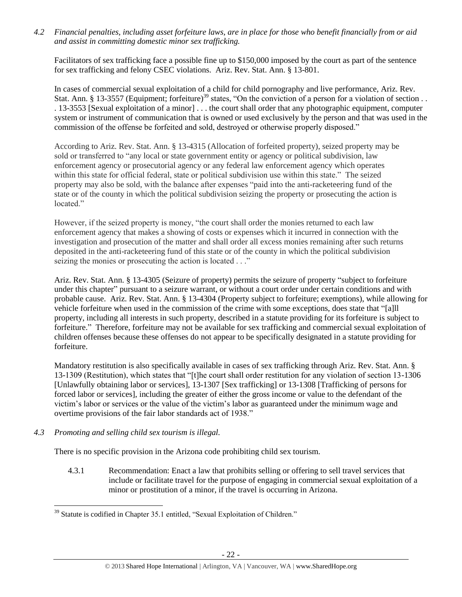*4.2 Financial penalties, including asset forfeiture laws, are in place for those who benefit financially from or aid and assist in committing domestic minor sex trafficking.*

Facilitators of sex trafficking face a possible fine up to \$150,000 imposed by the court as part of the sentence for sex trafficking and felony CSEC violations. Ariz. Rev. Stat. Ann. § 13-801.

In cases of commercial sexual exploitation of a child for child pornography and live performance, Ariz. Rev. Stat. Ann. § 13-3557 (Equipment; forfeiture)<sup>39</sup> states, "On the conviction of a person for a violation of section . . . 13-3553 [Sexual exploitation of a minor] . . . the court shall order that any photographic equipment, computer system or instrument of communication that is owned or used exclusively by the person and that was used in the commission of the offense be forfeited and sold, destroyed or otherwise properly disposed."

According to Ariz. Rev. Stat. Ann. § 13-4315 (Allocation of forfeited property), seized property may be sold or transferred to "any local or state government entity or agency or political subdivision, law enforcement agency or prosecutorial agency or any federal law enforcement agency which operates within this state for official federal, state or political subdivision use within this state." The seized property may also be sold, with the balance after expenses "paid into the anti-racketeering fund of the state or of the county in which the political subdivision seizing the property or prosecuting the action is located."

However, if the seized property is money, "the court shall order the monies returned to each law enforcement agency that makes a showing of costs or expenses which it incurred in connection with the investigation and prosecution of the matter and shall order all excess monies remaining after such returns deposited in the anti-racketeering fund of this state or of the county in which the political subdivision seizing the monies or prosecuting the action is located . . ."

Ariz. Rev. Stat. Ann. § 13-4305 (Seizure of property) permits the seizure of property "subject to forfeiture under this chapter" pursuant to a seizure warrant, or without a court order under certain conditions and with probable cause. Ariz. Rev. Stat. Ann. § 13-4304 (Property subject to forfeiture; exemptions), while allowing for vehicle forfeiture when used in the commission of the crime with some exceptions, does state that "[a]ll property, including all interests in such property, described in a statute providing for its forfeiture is subject to forfeiture." Therefore, forfeiture may not be available for sex trafficking and commercial sexual exploitation of children offenses because these offenses do not appear to be specifically designated in a statute providing for forfeiture.

Mandatory restitution is also specifically available in cases of sex trafficking through Ariz. Rev. Stat. Ann. § 13-1309 (Restitution), which states that "[t]he court shall order restitution for any violation of section 13-1306 [Unlawfully obtaining labor or services], 13-1307 [Sex trafficking] or 13-1308 [Trafficking of persons for forced labor or services], including the greater of either the gross income or value to the defendant of the victim's labor or services or the value of the victim's labor as guaranteed under the minimum wage and overtime provisions of the fair labor standards act of 1938."

# *4.3 Promoting and selling child sex tourism is illegal.*

There is no specific provision in the Arizona code prohibiting child sex tourism.

4.3.1 Recommendation: Enact a law that prohibits selling or offering to sell travel services that include or facilitate travel for the purpose of engaging in commercial sexual exploitation of a minor or prostitution of a minor, if the travel is occurring in Arizona.

 $\overline{a}$ <sup>39</sup> Statute is codified in Chapter 35.1 entitled, "Sexual Exploitation of Children."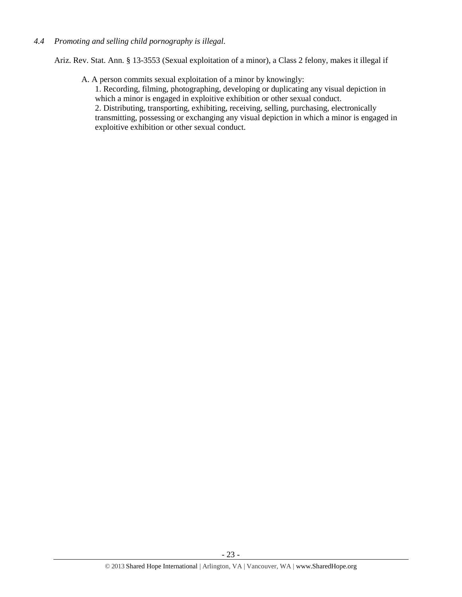## *4.4 Promoting and selling child pornography is illegal.*

Ariz. Rev. Stat. Ann. § 13-3553 (Sexual exploitation of a minor), a Class 2 felony, makes it illegal if

A. A person commits sexual exploitation of a minor by knowingly:

1. Recording, filming, photographing, developing or duplicating any visual depiction in which a minor is engaged in exploitive exhibition or other sexual conduct.

2. Distributing, transporting, exhibiting, receiving, selling, purchasing, electronically transmitting, possessing or exchanging any visual depiction in which a minor is engaged in exploitive exhibition or other sexual conduct.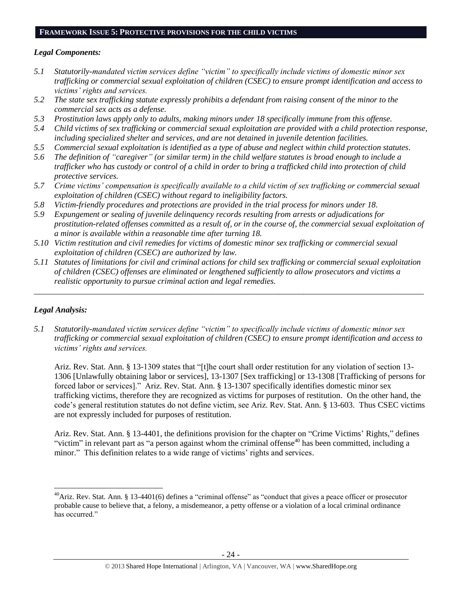#### **FRAMEWORK ISSUE 5: PROTECTIVE PROVISIONS FOR THE CHILD VICTIMS**

## *Legal Components:*

- *5.1 Statutorily-mandated victim services define "victim" to specifically include victims of domestic minor sex trafficking or commercial sexual exploitation of children (CSEC) to ensure prompt identification and access to victims' rights and services.*
- *5.2 The state sex trafficking statute expressly prohibits a defendant from raising consent of the minor to the commercial sex acts as a defense.*
- *5.3 Prostitution laws apply only to adults, making minors under 18 specifically immune from this offense.*
- *5.4 Child victims of sex trafficking or commercial sexual exploitation are provided with a child protection response, including specialized shelter and services, and are not detained in juvenile detention facilities.*
- *5.5 Commercial sexual exploitation is identified as a type of abuse and neglect within child protection statutes.*
- *5.6 The definition of "caregiver" (or similar term) in the child welfare statutes is broad enough to include a trafficker who has custody or control of a child in order to bring a trafficked child into protection of child protective services.*
- *5.7 Crime victims' compensation is specifically available to a child victim of sex trafficking or commercial sexual exploitation of children (CSEC) without regard to ineligibility factors.*
- *5.8 Victim-friendly procedures and protections are provided in the trial process for minors under 18.*
- *5.9 Expungement or sealing of juvenile delinquency records resulting from arrests or adjudications for prostitution-related offenses committed as a result of, or in the course of, the commercial sexual exploitation of a minor is available within a reasonable time after turning 18.*
- *5.10 Victim restitution and civil remedies for victims of domestic minor sex trafficking or commercial sexual exploitation of children (CSEC) are authorized by law.*
- *5.11 Statutes of limitations for civil and criminal actions for child sex trafficking or commercial sexual exploitation of children (CSEC) offenses are eliminated or lengthened sufficiently to allow prosecutors and victims a realistic opportunity to pursue criminal action and legal remedies.*

*\_\_\_\_\_\_\_\_\_\_\_\_\_\_\_\_\_\_\_\_\_\_\_\_\_\_\_\_\_\_\_\_\_\_\_\_\_\_\_\_\_\_\_\_\_\_\_\_\_\_\_\_\_\_\_\_\_\_\_\_\_\_\_\_\_\_\_\_\_\_\_\_\_\_\_\_\_\_\_\_\_\_\_\_\_\_\_\_\_\_\_\_\_\_*

# *Legal Analysis:*

 $\overline{a}$ 

*5.1 Statutorily-mandated victim services define "victim" to specifically include victims of domestic minor sex trafficking or commercial sexual exploitation of children (CSEC) to ensure prompt identification and access to victims' rights and services.* 

Ariz. Rev. Stat. Ann. § 13-1309 states that "[t]he court shall order restitution for any violation of section 13- 1306 [Unlawfully obtaining labor or services], 13-1307 [Sex trafficking] or 13-1308 [Trafficking of persons for forced labor or services]." Ariz. Rev. Stat. Ann. § 13-1307 specifically identifies domestic minor sex trafficking victims, therefore they are recognized as victims for purposes of restitution. On the other hand, the code's general restitution statutes do not define victim, see Ariz. Rev. Stat. Ann. § 13-603. Thus CSEC victims are not expressly included for purposes of restitution.

Ariz. Rev. Stat. Ann. § 13-4401, the definitions provision for the chapter on "Crime Victims' Rights," defines "victim" in relevant part as "a person against whom the criminal offense<sup>40</sup> has been committed, including a minor." This definition relates to a wide range of victims' rights and services.

 $^{40}$ Ariz. Rev. Stat. Ann. § 13-4401(6) defines a "criminal offense" as "conduct that gives a peace officer or prosecutor probable cause to believe that, a felony, a misdemeanor, a petty offense or a violation of a local criminal ordinance has occurred."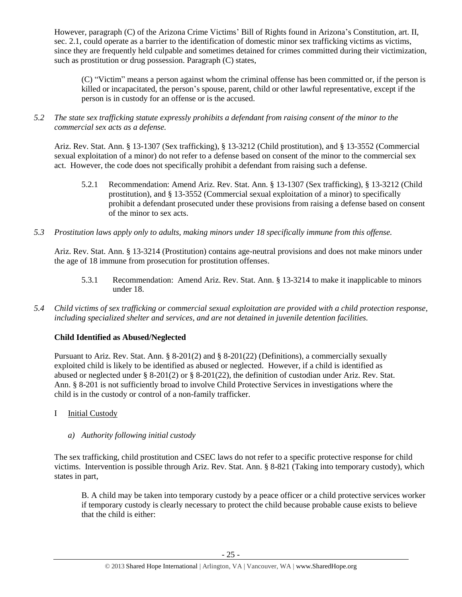However, paragraph (C) of the Arizona Crime Victims' Bill of Rights found in Arizona's Constitution, art. II, sec. 2.1, could operate as a barrier to the identification of domestic minor sex trafficking victims as victims, since they are frequently held culpable and sometimes detained for crimes committed during their victimization, such as prostitution or drug possession. Paragraph (C) states,

(C) "Victim" means a person against whom the criminal offense has been committed or, if the person is killed or incapacitated, the person's spouse, parent, child or other lawful representative, except if the person is in custody for an offense or is the accused.

*5.2 The state sex trafficking statute expressly prohibits a defendant from raising consent of the minor to the commercial sex acts as a defense.*

Ariz. Rev. Stat. Ann. § 13-1307 (Sex trafficking), § 13-3212 (Child prostitution), and § 13-3552 (Commercial sexual exploitation of a minor) do not refer to a defense based on consent of the minor to the commercial sex act. However, the code does not specifically prohibit a defendant from raising such a defense.

- 5.2.1 Recommendation: Amend Ariz. Rev. Stat. Ann. § 13-1307 (Sex trafficking), § 13-3212 (Child prostitution), and § 13-3552 (Commercial sexual exploitation of a minor) to specifically prohibit a defendant prosecuted under these provisions from raising a defense based on consent of the minor to sex acts.
- *5.3 Prostitution laws apply only to adults, making minors under 18 specifically immune from this offense.*

Ariz. Rev. Stat. Ann. § 13-3214 (Prostitution) contains age-neutral provisions and does not make minors under the age of 18 immune from prosecution for prostitution offenses.

- 5.3.1 Recommendation: Amend Ariz. Rev. Stat. Ann. § 13-3214 to make it inapplicable to minors under 18.
- *5.4 Child victims of sex trafficking or commercial sexual exploitation are provided with a child protection response, including specialized shelter and services, and are not detained in juvenile detention facilities.*

# **Child Identified as Abused/Neglected**

Pursuant to Ariz. Rev. Stat. Ann. § 8-201(2) and § 8-201(22) (Definitions), a commercially sexually exploited child is likely to be identified as abused or neglected. However, if a child is identified as abused or neglected under § 8-201(2) or § 8-201(22), the definition of custodian under Ariz. Rev. Stat. Ann. § 8-201 is not sufficiently broad to involve Child Protective Services in investigations where the child is in the custody or control of a non-family trafficker.

I Initial Custody

# *a) Authority following initial custody*

The sex trafficking, child prostitution and CSEC laws do not refer to a specific protective response for child victims. Intervention is possible through Ariz. Rev. Stat. Ann. § 8-821 (Taking into temporary custody), which states in part,

B. A child may be taken into temporary custody by a peace officer or a child protective services worker if temporary custody is clearly necessary to protect the child because probable cause exists to believe that the child is either: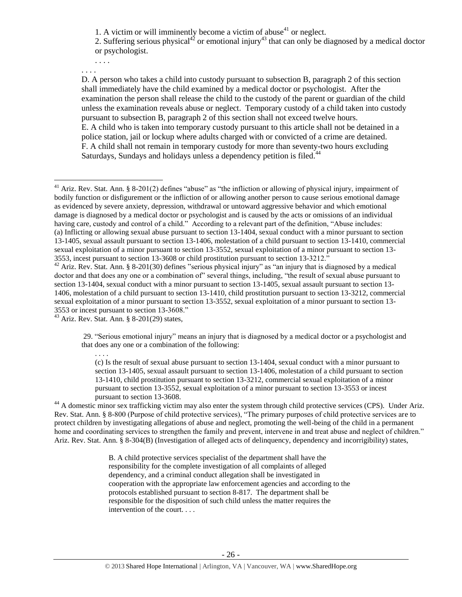1. A victim or will imminently become a victim of abuse<sup>41</sup> or neglect.

2. Suffering serious physical<sup>42</sup> or emotional injury<sup>43</sup> that can only be diagnosed by a medical doctor or psychologist.

. . . . . . . .

 $\overline{a}$ 

D. A person who takes a child into custody pursuant to subsection B, paragraph 2 of this section shall immediately have the child examined by a medical doctor or psychologist. After the examination the person shall release the child to the custody of the parent or guardian of the child unless the examination reveals abuse or neglect. Temporary custody of a child taken into custody pursuant to subsection B, paragraph 2 of this section shall not exceed twelve hours. E. A child who is taken into temporary custody pursuant to this article shall not be detained in a police station, jail or lockup where adults charged with or convicted of a crime are detained. F. A child shall not remain in temporary custody for more than seventy-two hours excluding Saturdays, Sundays and holidays unless a dependency petition is filed.<sup>44</sup>

<sup>43</sup> Ariz. Rev. Stat. Ann. § 8-201(29) states,

. . . .

29. "Serious emotional injury" means an injury that is diagnosed by a medical doctor or a psychologist and that does any one or a combination of the following:

(c) Is the result of sexual abuse pursuant to section 13-1404, sexual conduct with a minor pursuant to section 13-1405, sexual assault pursuant to section 13-1406, molestation of a child pursuant to section 13-1410, child prostitution pursuant to section 13-3212, commercial sexual exploitation of a minor pursuant to section 13-3552, sexual exploitation of a minor pursuant to section 13-3553 or incest pursuant to section 13-3608.

<sup>44</sup> A domestic minor sex trafficking victim may also enter the system through child protective services (CPS). Under Ariz. Rev. Stat. Ann. § 8-800 (Purpose of child protective services), "The primary purposes of child protective services are to protect children by investigating allegations of abuse and neglect, promoting the well-being of the child in a permanent home and coordinating services to strengthen the family and prevent, intervene in and treat abuse and neglect of children." Ariz. Rev. Stat. Ann. § 8-304(B) (Investigation of alleged acts of delinquency, dependency and incorrigibility) states,

> B. A child protective services specialist of the department shall have the responsibility for the complete investigation of all complaints of alleged dependency, and a criminal conduct allegation shall be investigated in cooperation with the appropriate law enforcement agencies and according to the protocols established pursuant to section 8-817. The department shall be responsible for the disposition of such child unless the matter requires the intervention of the court. . . .

<sup>&</sup>lt;sup>41</sup> Ariz. Rev. Stat. Ann. § 8-201(2) defines "abuse" as "the infliction or allowing of physical injury, impairment of bodily function or disfigurement or the infliction of or allowing another person to cause serious emotional damage as evidenced by severe anxiety, depression, withdrawal or untoward aggressive behavior and which emotional damage is diagnosed by a medical doctor or psychologist and is caused by the acts or omissions of an individual having care, custody and control of a child." According to a relevant part of the definition, "Abuse includes: (a) Inflicting or allowing sexual abuse pursuant to section 13-1404, sexual conduct with a minor pursuant to section 13-1405, sexual assault pursuant to section 13-1406, molestation of a child pursuant to section 13-1410, commercial sexual exploitation of a minor pursuant to section 13-3552, sexual exploitation of a minor pursuant to section 13- 3553, incest pursuant to section 13-3608 or child prostitution pursuant to section 13-3212."

 $42$  Ariz. Rev. Stat. Ann. § 8-201(30) defines "serious physical injury" as "an injury that is diagnosed by a medical doctor and that does any one or a combination of" several things, including, "the result of sexual abuse pursuant to section 13-1404, sexual conduct with a minor pursuant to section 13-1405, sexual assault pursuant to section 13- 1406, molestation of a child pursuant to section 13-1410, child prostitution pursuant to section 13-3212, commercial sexual exploitation of a minor pursuant to section 13-3552, sexual exploitation of a minor pursuant to section 13- 3553 or incest pursuant to section 13-3608."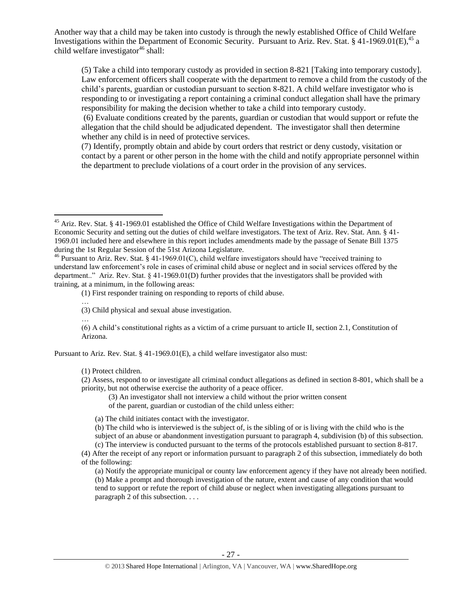Another way that a child may be taken into custody is through the newly established Office of Child Welfare Investigations within the Department of Economic Security. Pursuant to Ariz. Rev. Stat. § 41-1969.01(E),<sup>45</sup> a child welfare investigator $46$  shall:

(5) Take a child into temporary custody as provided in section 8-821 [Taking into temporary custody]. Law enforcement officers shall cooperate with the department to remove a child from the custody of the child's parents, guardian or custodian pursuant to section 8-821. A child welfare investigator who is responding to or investigating a report containing a criminal conduct allegation shall have the primary responsibility for making the decision whether to take a child into temporary custody.

(6) Evaluate conditions created by the parents, guardian or custodian that would support or refute the allegation that the child should be adjudicated dependent. The investigator shall then determine whether any child is in need of protective services.

(7) Identify, promptly obtain and abide by court orders that restrict or deny custody, visitation or contact by a parent or other person in the home with the child and notify appropriate personnel within the department to preclude violations of a court order in the provision of any services.

…

 $\overline{a}$ 

(6) A child's constitutional rights as a victim of a crime pursuant to article II, section 2.1, Constitution of Arizona.

Pursuant to Ariz. Rev. Stat. § 41-1969.01(E), a child welfare investigator also must:

(1) Protect children.

(2) Assess, respond to or investigate all criminal conduct allegations as defined in section 8-801, which shall be a priority, but not otherwise exercise the authority of a peace officer.

- (3) An investigator shall not interview a child without the prior written consent
- of the parent, guardian or custodian of the child unless either:
- (a) The child initiates contact with the investigator.

(b) The child who is interviewed is the subject of, is the sibling of or is living with the child who is the

subject of an abuse or abandonment investigation pursuant to paragraph 4, subdivision (b) of this subsection.

(c) The interview is conducted pursuant to the terms of the protocols established pursuant to section 8-817. (4) After the receipt of any report or information pursuant to paragraph 2 of this subsection, immediately do both of the following:

(a) Notify the appropriate municipal or county law enforcement agency if they have not already been notified. (b) Make a prompt and thorough investigation of the nature, extent and cause of any condition that would tend to support or refute the report of child abuse or neglect when investigating allegations pursuant to paragraph 2 of this subsection. . . .

<sup>&</sup>lt;sup>45</sup> Ariz. Rev. Stat. § 41-1969.01 established the Office of Child Welfare Investigations within the Department of Economic Security and setting out the duties of child welfare investigators. The text of Ariz. Rev. Stat. Ann. § 41- 1969.01 included here and elsewhere in this report includes amendments made by the passage of Senate Bill 1375 during the 1st Regular Session of the 51st Arizona Legislature.

<sup>&</sup>lt;sup>46</sup> Pursuant to Ariz. Rev. Stat. § 41-1969.01(C), child welfare investigators should have "received training to understand law enforcement's role in cases of criminal child abuse or neglect and in social services offered by the department.." Ariz. Rev. Stat. § 41-1969.01(D) further provides that the investigators shall be provided with training, at a minimum, in the following areas:

<sup>(1)</sup> First responder training on responding to reports of child abuse.

<sup>…</sup> (3) Child physical and sexual abuse investigation.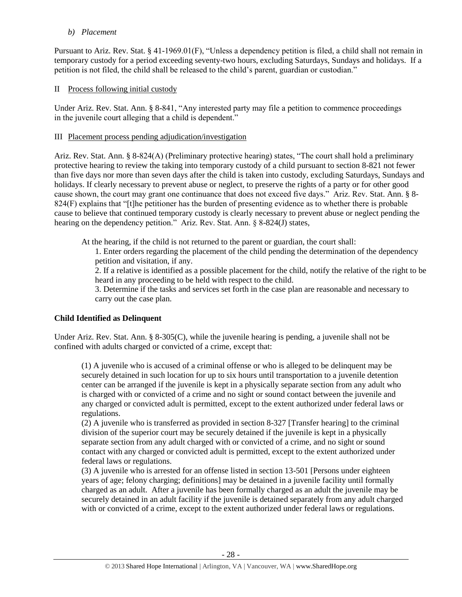## *b) Placement*

Pursuant to Ariz. Rev. Stat. § 41-1969.01(F), "Unless a dependency petition is filed, a child shall not remain in temporary custody for a period exceeding seventy-two hours, excluding Saturdays, Sundays and holidays. If a petition is not filed, the child shall be released to the child's parent, guardian or custodian."

# II Process following initial custody

Under Ariz. Rev. Stat. Ann. § 8-841, "Any interested party may file a petition to commence proceedings in the juvenile court alleging that a child is dependent."

# III Placement process pending adjudication/investigation

Ariz. Rev. Stat. Ann. § 8-824(A) (Preliminary protective hearing) states, "The court shall hold a preliminary protective hearing to review the taking into temporary custody of a child pursuant to section 8-821 not fewer than five days nor more than seven days after the child is taken into custody, excluding Saturdays, Sundays and holidays. If clearly necessary to prevent abuse or neglect, to preserve the rights of a party or for other good cause shown, the court may grant one continuance that does not exceed five days." Ariz. Rev. Stat. Ann. § 8- 824(F) explains that "[t]he petitioner has the burden of presenting evidence as to whether there is probable cause to believe that continued temporary custody is clearly necessary to prevent abuse or neglect pending the hearing on the dependency petition." Ariz. Rev. Stat. Ann. § 8-824(J) states,

At the hearing, if the child is not returned to the parent or guardian, the court shall:

1. Enter orders regarding the placement of the child pending the determination of the dependency petition and visitation, if any.

2. If a relative is identified as a possible placement for the child, notify the relative of the right to be heard in any proceeding to be held with respect to the child.

3. Determine if the tasks and services set forth in the case plan are reasonable and necessary to carry out the case plan.

# **Child Identified as Delinquent**

Under Ariz. Rev. Stat. Ann. § 8-305(C), while the juvenile hearing is pending, a juvenile shall not be confined with adults charged or convicted of a crime, except that:

(1) A juvenile who is accused of a criminal offense or who is alleged to be delinquent may be securely detained in such location for up to six hours until transportation to a juvenile detention center can be arranged if the juvenile is kept in a physically separate section from any adult who is charged with or convicted of a crime and no sight or sound contact between the juvenile and any charged or convicted adult is permitted, except to the extent authorized under federal laws or regulations.

(2) A juvenile who is transferred as provided in section 8-327 [Transfer hearing] to the criminal division of the superior court may be securely detained if the juvenile is kept in a physically separate section from any adult charged with or convicted of a crime, and no sight or sound contact with any charged or convicted adult is permitted, except to the extent authorized under federal laws or regulations.

(3) A juvenile who is arrested for an offense listed in section 13-501 [Persons under eighteen years of age; felony charging; definitions] may be detained in a juvenile facility until formally charged as an adult. After a juvenile has been formally charged as an adult the juvenile may be securely detained in an adult facility if the juvenile is detained separately from any adult charged with or convicted of a crime, except to the extent authorized under federal laws or regulations.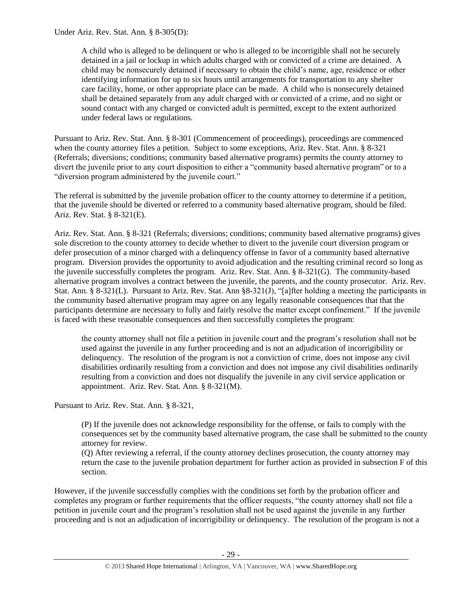Under Ariz. Rev. Stat. Ann. § 8-305(D):

A child who is alleged to be delinquent or who is alleged to be incorrigible shall not be securely detained in a jail or lockup in which adults charged with or convicted of a crime are detained. A child may be nonsecurely detained if necessary to obtain the child's name, age, residence or other identifying information for up to six hours until arrangements for transportation to any shelter care facility, home, or other appropriate place can be made. A child who is nonsecurely detained shall be detained separately from any adult charged with or convicted of a crime, and no sight or sound contact with any charged or convicted adult is permitted, except to the extent authorized under federal laws or regulations.

Pursuant to Ariz. Rev. Stat. Ann. § 8-301 (Commencement of proceedings), proceedings are commenced when the county attorney files a petition. Subject to some exceptions, Ariz. Rev. Stat. Ann. § 8-321 (Referrals; diversions; conditions; community based alternative programs) permits the county attorney to divert the juvenile prior to any court disposition to either a "community based alternative program" or to a "diversion program administered by the juvenile court."

The referral is submitted by the juvenile probation officer to the county attorney to determine if a petition, that the juvenile should be diverted or referred to a community based alternative program, should be filed. Ariz. Rev. Stat. § 8-321(E).

Ariz. Rev. Stat. Ann. § 8-321 (Referrals; diversions; conditions; community based alternative programs) gives sole discretion to the county attorney to decide whether to divert to the juvenile court diversion program or defer prosecution of a minor charged with a delinquency offense in favor of a community based alternative program. Diversion provides the opportunity to avoid adjudication and the resulting criminal record so long as the juvenile successfully completes the program. Ariz. Rev. Stat. Ann. § 8-321(G). The community-based alternative program involves a contract between the juvenile, the parents, and the county prosecutor. Ariz. Rev. Stat. Ann. § 8-321(L). Pursuant to Ariz. Rev. Stat. Ann § 8-321(J), "[a]fter holding a meeting the participants in the community based alternative program may agree on any legally reasonable consequences that that the participants determine are necessary to fully and fairly resolve the matter except confinement." If the juvenile is faced with these reasonable consequences and then successfully completes the program:

the county attorney shall not file a petition in juvenile court and the program's resolution shall not be used against the juvenile in any further proceeding and is not an adjudication of incorrigibility or delinquency. The resolution of the program is not a conviction of crime, does not impose any civil disabilities ordinarily resulting from a conviction and does not impose any civil disabilities ordinarily resulting from a conviction and does not disqualify the juvenile in any civil service application or appointment. Ariz. Rev. Stat. Ann. § 8-321(M).

Pursuant to Ariz. Rev. Stat. Ann. § 8-321,

(P) If the juvenile does not acknowledge responsibility for the offense, or fails to comply with the consequences set by the community based alternative program, the case shall be submitted to the county attorney for review.

(Q) After reviewing a referral, if the county attorney declines prosecution, the county attorney may return the case to the juvenile probation department for further action as provided in subsection F of this section.

However, if the juvenile successfully complies with the conditions set forth by the probation officer and completes any program or further requirements that the officer requests, "the county attorney shall not file a petition in juvenile court and the program's resolution shall not be used against the juvenile in any further proceeding and is not an adjudication of incorrigibility or delinquency. The resolution of the program is not a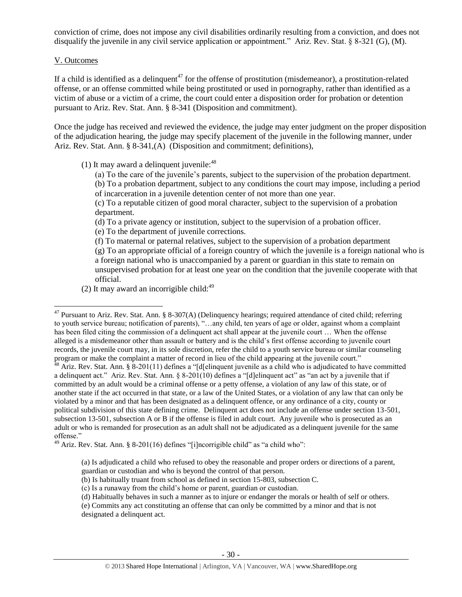conviction of crime, does not impose any civil disabilities ordinarily resulting from a conviction, and does not disqualify the juvenile in any civil service application or appointment." Ariz. Rev. Stat. § 8-321 (G), (M).

## V. Outcomes

If a child is identified as a delinquent<sup>47</sup> for the offense of prostitution (misdemeanor), a prostitution-related offense, or an offense committed while being prostituted or used in pornography, rather than identified as a victim of abuse or a victim of a crime, the court could enter a disposition order for probation or detention pursuant to Ariz. Rev. Stat. Ann. § 8-341 (Disposition and commitment).

Once the judge has received and reviewed the evidence, the judge may enter judgment on the proper disposition of the adjudication hearing, the judge may specify placement of the juvenile in the following manner, under Ariz. Rev. Stat. Ann. § 8-341,(A) (Disposition and commitment; definitions),

(1) It may award a delinquent juvenile: $48$ 

(a) To the care of the juvenile's parents, subject to the supervision of the probation department.

(b) To a probation department, subject to any conditions the court may impose, including a period of incarceration in a juvenile detention center of not more than one year.

(c) To a reputable citizen of good moral character, subject to the supervision of a probation department.

(d) To a private agency or institution, subject to the supervision of a probation officer.

(e) To the department of juvenile corrections.

(f) To maternal or paternal relatives, subject to the supervision of a probation department (g) To an appropriate official of a foreign country of which the juvenile is a foreign national who is a foreign national who is unaccompanied by a parent or guardian in this state to remain on unsupervised probation for at least one year on the condition that the juvenile cooperate with that official.

(2) It may award an incorrigible child: $49$ 

 $\overline{a}$  $47$  Pursuant to Ariz. Rev. Stat. Ann. § 8-307(A) (Delinquency hearings; required attendance of cited child; referring to youth service bureau; notification of parents), "…any child, ten years of age or older, against whom a complaint has been filed citing the commission of a delinquent act shall appear at the juvenile court ... When the offense alleged is a misdemeanor other than assault or battery and is the child's first offense according to juvenile court records, the juvenile court may, in its sole discretion, refer the child to a youth service bureau or similar counseling program or make the complaint a matter of record in lieu of the child appearing at the juvenile court."

 $48$  Ariz. Rev. Stat. Ann. §  $8-201(11)$  defines a "[d[elinquent juvenile as a child who is adjudicated to have committed a delinquent act." Ariz. Rev. Stat. Ann. § 8-201(10) defines a "[d]elinquent act" as "an act by a juvenile that if committed by an adult would be a criminal offense or a petty offense, a violation of any law of this state, or of another state if the act occurred in that state, or a law of the United States, or a violation of any law that can only be violated by a minor and that has been designated as a delinquent offence, or any ordinance of a city, county or political subdivision of this state defining crime. Delinquent act does not include an offense under section 13-501, subsection 13-501, subsection A or B if the offense is filed in adult court. Any juvenile who is prosecuted as an adult or who is remanded for prosecution as an adult shall not be adjudicated as a delinquent juvenile for the same offense."

 $^{49}$  Ariz. Rev. Stat. Ann. § 8-201(16) defines "[i]ncorrigible child" as "a child who":

<sup>(</sup>a) Is adjudicated a child who refused to obey the reasonable and proper orders or directions of a parent, guardian or custodian and who is beyond the control of that person.

<sup>(</sup>b) Is habitually truant from school as defined in section 15-803, subsection C.

<sup>(</sup>c) Is a runaway from the child's home or parent, guardian or custodian.

<sup>(</sup>d) Habitually behaves in such a manner as to injure or endanger the morals or health of self or others.

<sup>(</sup>e) Commits any act constituting an offense that can only be committed by a minor and that is not designated a delinquent act.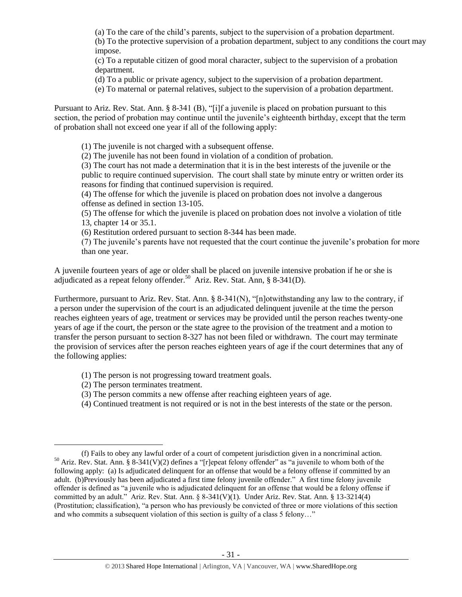(a) To the care of the child's parents, subject to the supervision of a probation department.

(b) To the protective supervision of a probation department, subject to any conditions the court may impose.

(c) To a reputable citizen of good moral character, subject to the supervision of a probation department.

(d) To a public or private agency, subject to the supervision of a probation department.

(e) To maternal or paternal relatives, subject to the supervision of a probation department.

Pursuant to Ariz. Rev. Stat. Ann. § 8-341 (B), "[i]f a juvenile is placed on probation pursuant to this section, the period of probation may continue until the juvenile's eighteenth birthday, except that the term of probation shall not exceed one year if all of the following apply:

(1) The juvenile is not charged with a subsequent offense.

(2) The juvenile has not been found in violation of a condition of probation.

(3) The court has not made a determination that it is in the best interests of the juvenile or the public to require continued supervision. The court shall state by minute entry or written order its reasons for finding that continued supervision is required.

(4) The offense for which the juvenile is placed on probation does not involve a dangerous offense as defined in section 13-105.

(5) The offense for which the juvenile is placed on probation does not involve a violation of title 13, chapter 14 or 35.1.

(6) Restitution ordered pursuant to section 8-344 has been made.

(7) The juvenile's parents have not requested that the court continue the juvenile's probation for more than one year.

A juvenile fourteen years of age or older shall be placed on juvenile intensive probation if he or she is adjudicated as a repeat felony offender.<sup>50</sup> Ariz. Rev. Stat. Ann, § 8-341(D).

Furthermore, pursuant to Ariz. Rev. Stat. Ann. § 8-341(N), "[n]otwithstanding any law to the contrary, if a person under the supervision of the court is an adjudicated delinquent juvenile at the time the person reaches eighteen years of age, treatment or services may be provided until the person reaches twenty-one years of age if the court, the person or the state agree to the provision of the treatment and a motion to transfer the person pursuant to section 8-327 has not been filed or withdrawn. The court may terminate the provision of services after the person reaches eighteen years of age if the court determines that any of the following applies:

- (1) The person is not progressing toward treatment goals.
- (2) The person terminates treatment.

- (3) The person commits a new offense after reaching eighteen years of age.
- (4) Continued treatment is not required or is not in the best interests of the state or the person.

<sup>(</sup>f) Fails to obey any lawful order of a court of competent jurisdiction given in a noncriminal action. <sup>50</sup> Ariz. Rev. Stat. Ann. § 8-341(V)(2) defines a "[r]epeat felony offender" as "a juvenile to whom both of the following apply: (a) Is adjudicated delinquent for an offense that would be a felony offense if committed by an adult. (b)Previously has been adjudicated a first time felony juvenile offender." A first time felony juvenile offender is defined as "a juvenile who is adjudicated delinquent for an offense that would be a felony offense if committed by an adult." Ariz. Rev. Stat. Ann. § 8-341(V)(1). Under Ariz. Rev. Stat. Ann. § 13-3214(4) (Prostitution; classification), "a person who has previously be convicted of three or more violations of this section and who commits a subsequent violation of this section is guilty of a class 5 felony…"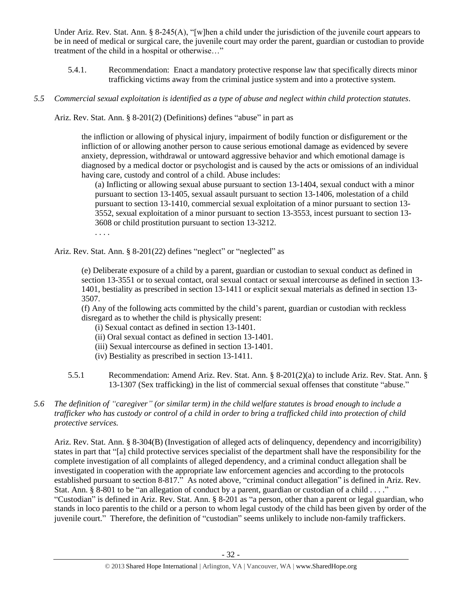Under Ariz. Rev. Stat. Ann. § 8-245(A), "[w]hen a child under the jurisdiction of the juvenile court appears to be in need of medical or surgical care, the juvenile court may order the parent, guardian or custodian to provide treatment of the child in a hospital or otherwise…"

- 5.4.1. Recommendation: Enact a mandatory protective response law that specifically directs minor trafficking victims away from the criminal justice system and into a protective system.
- *5.5 Commercial sexual exploitation is identified as a type of abuse and neglect within child protection statutes.*

Ariz. Rev. Stat. Ann. § 8-201(2) (Definitions) defines "abuse" in part as

the infliction or allowing of physical injury, impairment of bodily function or disfigurement or the infliction of or allowing another person to cause serious emotional damage as evidenced by severe anxiety, depression, withdrawal or untoward aggressive behavior and which emotional damage is diagnosed by a medical doctor or psychologist and is caused by the acts or omissions of an individual having care, custody and control of a child. Abuse includes:

(a) Inflicting or allowing sexual abuse pursuant to section 13-1404, sexual conduct with a minor pursuant to section 13-1405, sexual assault pursuant to section 13-1406, molestation of a child pursuant to section 13-1410, commercial sexual exploitation of a minor pursuant to section 13- 3552, sexual exploitation of a minor pursuant to section 13-3553, incest pursuant to section 13- 3608 or child prostitution pursuant to section 13-3212. . . . .

Ariz. Rev. Stat. Ann. § 8-201(22) defines "neglect" or "neglected" as

(e) Deliberate exposure of a child by a parent, guardian or custodian to sexual conduct as defined in section 13-3551 or to sexual contact, oral sexual contact or sexual intercourse as defined in section 13- 1401, bestiality as prescribed in section 13-1411 or explicit sexual materials as defined in section 13- 3507.

(f) Any of the following acts committed by the child's parent, guardian or custodian with reckless disregard as to whether the child is physically present:

- (i) Sexual contact as defined in section 13-1401.
- (ii) Oral sexual contact as defined in section 13-1401.
- (iii) Sexual intercourse as defined in section 13-1401.
- (iv) Bestiality as prescribed in section 13-1411.
- 5.5.1 Recommendation: Amend Ariz. Rev. Stat. Ann. § 8-201(2)(a) to include Ariz. Rev. Stat. Ann. § 13-1307 (Sex trafficking) in the list of commercial sexual offenses that constitute "abuse."
- *5.6 The definition of "caregiver" (or similar term) in the child welfare statutes is broad enough to include a trafficker who has custody or control of a child in order to bring a trafficked child into protection of child protective services.*

Ariz. Rev. Stat. Ann. § 8-304(B) (Investigation of alleged acts of delinquency, dependency and incorrigibility) states in part that "[a] child protective services specialist of the department shall have the responsibility for the complete investigation of all complaints of alleged dependency, and a criminal conduct allegation shall be investigated in cooperation with the appropriate law enforcement agencies and according to the protocols established pursuant to section 8-817." As noted above, "criminal conduct allegation" is defined in Ariz. Rev. Stat. Ann. § 8-801 to be "an allegation of conduct by a parent, guardian or custodian of a child . . . ." "Custodian" is defined in Ariz. Rev. Stat. Ann. § 8-201 as "a person, other than a parent or legal guardian, who stands in loco parentis to the child or a person to whom legal custody of the child has been given by order of the juvenile court." Therefore, the definition of "custodian" seems unlikely to include non-family traffickers.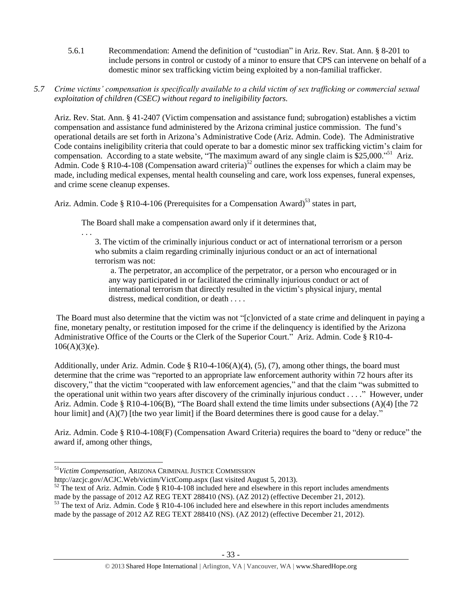- 5.6.1 Recommendation: Amend the definition of "custodian" in Ariz. Rev. Stat. Ann. § 8-201 to include persons in control or custody of a minor to ensure that CPS can intervene on behalf of a domestic minor sex trafficking victim being exploited by a non-familial trafficker.
- *5.7 Crime victims' compensation is specifically available to a child victim of sex trafficking or commercial sexual exploitation of children (CSEC) without regard to ineligibility factors.*

Ariz. Rev. Stat. Ann. § 41-2407 (Victim compensation and assistance fund; subrogation) establishes a victim compensation and assistance fund administered by the Arizona criminal justice commission. The fund's operational details are set forth in Arizona's Administrative Code (Ariz. Admin. Code). The Administrative Code contains ineligibility criteria that could operate to bar a domestic minor sex trafficking victim's claim for compensation. According to a state website, "The maximum award of any single claim is \$25,000."<sup>51</sup> Ariz. Admin. Code § R10-4-108 (Compensation award criteria)<sup>52</sup> outlines the expenses for which a claim may be made, including medical expenses, mental health counseling and care, work loss expenses, funeral expenses, and crime scene cleanup expenses.

Ariz. Admin. Code § R10-4-106 (Prerequisites for a Compensation Award)<sup>53</sup> states in part,

The Board shall make a compensation award only if it determines that,

. . .

3. The victim of the criminally injurious conduct or act of international terrorism or a person who submits a claim regarding criminally injurious conduct or an act of international terrorism was not:

a. The perpetrator, an accomplice of the perpetrator, or a person who encouraged or in any way participated in or facilitated the criminally injurious conduct or act of international terrorism that directly resulted in the victim's physical injury, mental distress, medical condition, or death . . . .

The Board must also determine that the victim was not "[c]onvicted of a state crime and delinquent in paying a fine, monetary penalty, or restitution imposed for the crime if the delinquency is identified by the Arizona Administrative Office of the Courts or the Clerk of the Superior Court." Ariz. Admin. Code § R10-4-  $106(A)(3)(e)$ .

Additionally, under Ariz. Admin. Code § R10-4-106(A)(4), (5), (7), among other things, the board must determine that the crime was "reported to an appropriate law enforcement authority within 72 hours after its discovery," that the victim "cooperated with law enforcement agencies," and that the claim "was submitted to the operational unit within two years after discovery of the criminally injurious conduct . . . ." However, under Ariz. Admin. Code § R10-4-106(B), "The Board shall extend the time limits under subsections (A)(4) [the 72 hour limit] and  $(A)(7)$  [the two year limit] if the Board determines there is good cause for a delay."

Ariz. Admin. Code § R10-4-108(F) (Compensation Award Criteria) requires the board to "deny or reduce" the award if, among other things,

http://azcjc.gov/ACJC.Web/victim/VictComp.aspx (last visited August 5, 2013).

 $52$  The text of Ariz. Admin. Code § R10-4-108 included here and elsewhere in this report includes amendments made by the passage of 2012 AZ REG TEXT 288410 (NS). (AZ 2012) (effective December 21, 2012).

 $\overline{a}$ <sup>51</sup>*Victim Compensation*, ARIZONA CRIMINAL JUSTICE COMMISSION

 $53$  The text of Ariz. Admin. Code § R10-4-106 included here and elsewhere in this report includes amendments made by the passage of 2012 AZ REG TEXT 288410 (NS). (AZ 2012) (effective December 21, 2012).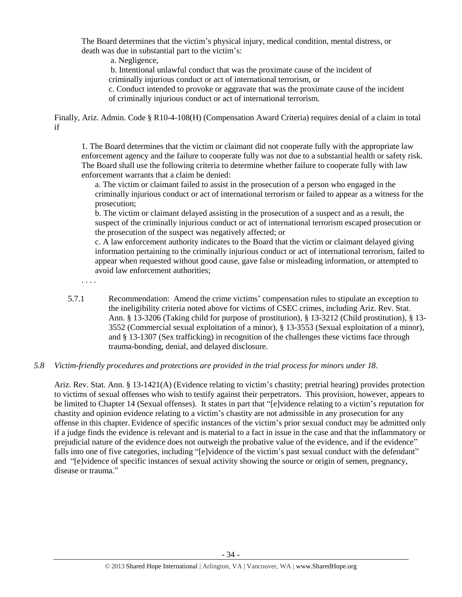The Board determines that the victim's physical injury, medical condition, mental distress, or death was due in substantial part to the victim's:

a. Negligence,

b. Intentional unlawful conduct that was the proximate cause of the incident of criminally injurious conduct or act of international terrorism, or

c. Conduct intended to provoke or aggravate that was the proximate cause of the incident of criminally injurious conduct or act of international terrorism.

Finally, Ariz. Admin. Code § R10-4-108(H) (Compensation Award Criteria) requires denial of a claim in total if

1. The Board determines that the victim or claimant did not cooperate fully with the appropriate law enforcement agency and the failure to cooperate fully was not due to a substantial health or safety risk. The Board shall use the following criteria to determine whether failure to cooperate fully with law enforcement warrants that a claim be denied:

a. The victim or claimant failed to assist in the prosecution of a person who engaged in the criminally injurious conduct or act of international terrorism or failed to appear as a witness for the prosecution;

b. The victim or claimant delayed assisting in the prosecution of a suspect and as a result, the suspect of the criminally injurious conduct or act of international terrorism escaped prosecution or the prosecution of the suspect was negatively affected; or

c. A law enforcement authority indicates to the Board that the victim or claimant delayed giving information pertaining to the criminally injurious conduct or act of international terrorism, failed to appear when requested without good cause, gave false or misleading information, or attempted to avoid law enforcement authorities;

. . . .

5.7.1 Recommendation: Amend the crime victims' compensation rules to stipulate an exception to the ineligibility criteria noted above for victims of CSEC crimes, including Ariz. Rev. Stat. Ann. § 13-3206 (Taking child for purpose of prostitution), § 13-3212 (Child prostitution), § 13- 3552 (Commercial sexual exploitation of a minor), § 13-3553 (Sexual exploitation of a minor), and § 13-1307 (Sex trafficking) in recognition of the challenges these victims face through trauma-bonding, denial, and delayed disclosure.

## *5.8 Victim-friendly procedures and protections are provided in the trial process for minors under 18.*

Ariz. Rev. Stat. Ann. § 13-1421(A) (Evidence relating to victim's chastity; pretrial hearing) provides protection to victims of sexual offenses who wish to testify against their perpetrators. This provision, however, appears to be limited to Chapter 14 (Sexual offenses). It states in part that "[e]vidence relating to a victim's reputation for chastity and opinion evidence relating to a victim's chastity are not admissible in any prosecution for any offense in this chapter. Evidence of specific instances of the victim's prior sexual conduct may be admitted only if a judge finds the evidence is relevant and is material to a fact in issue in the case and that the inflammatory or prejudicial nature of the evidence does not outweigh the probative value of the evidence, and if the evidence" falls into one of five categories, including "[e]vidence of the victim's past sexual conduct with the defendant" and "[e]vidence of specific instances of sexual activity showing the source or origin of semen, pregnancy, disease or trauma."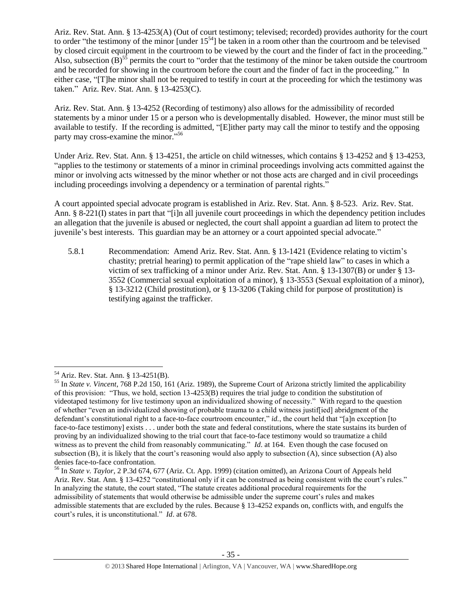Ariz. Rev. Stat. Ann. § 13-4253(A) (Out of court testimony; televised; recorded) provides authority for the court to order "the testimony of the minor [under 15<sup>54</sup>] be taken in a room other than the courtroom and be televised by closed circuit equipment in the courtroom to be viewed by the court and the finder of fact in the proceeding." Also, subsection  $(B)$ <sup>55</sup> permits the court to "order that the testimony of the minor be taken outside the courtroom and be recorded for showing in the courtroom before the court and the finder of fact in the proceeding." In either case, "[T]he minor shall not be required to testify in court at the proceeding for which the testimony was taken." Ariz. Rev. Stat. Ann. § 13-4253(C).

Ariz. Rev. Stat. Ann. § 13-4252 (Recording of testimony) also allows for the admissibility of recorded statements by a minor under 15 or a person who is developmentally disabled. However, the minor must still be available to testify. If the recording is admitted, "[E]ither party may call the minor to testify and the opposing party may cross-examine the minor."<sup>56</sup>

Under Ariz. Rev. Stat. Ann. § 13-4251, the article on child witnesses, which contains § 13-4252 and § 13-4253, "applies to the testimony or statements of a minor in criminal proceedings involving acts committed against the minor or involving acts witnessed by the minor whether or not those acts are charged and in civil proceedings including proceedings involving a dependency or a termination of parental rights."

A court appointed special advocate program is established in Ariz. Rev. Stat. Ann. § 8-523. Ariz. Rev. Stat. Ann. § 8-221(I) states in part that "[i]n all juvenile court proceedings in which the dependency petition includes an allegation that the juvenile is abused or neglected, the court shall appoint a guardian ad litem to protect the juvenile's best interests. This guardian may be an attorney or a court appointed special advocate."

5.8.1 Recommendation: Amend Ariz. Rev. Stat. Ann. § 13-1421 (Evidence relating to victim's chastity; pretrial hearing) to permit application of the "rape shield law" to cases in which a victim of sex trafficking of a minor under Ariz. Rev. Stat. Ann. § 13-1307(B) or under § 13- 3552 (Commercial sexual exploitation of a minor), § 13-3553 (Sexual exploitation of a minor), § 13-3212 (Child prostitution), or § 13-3206 (Taking child for purpose of prostitution) is testifying against the trafficker.

<sup>54</sup> Ariz. Rev. Stat. Ann. § 13-4251(B).

<sup>55</sup> In *State v. Vincent*, 768 P.2d 150, 161 (Ariz. 1989), the Supreme Court of Arizona strictly limited the applicability of this provision: "Thus, we hold, section 13-4253(B) requires the trial judge to condition the substitution of videotaped testimony for live testimony upon an individualized showing of necessity." With regard to the question of whether "even an individualized showing of probable trauma to a child witness justif[ied] abridgment of the defendant's constitutional right to a face-to-face courtroom encounter," *id.*, the court held that "[a]n exception [to face-to-face testimony] exists . . . under both the state and federal constitutions, where the state sustains its burden of proving by an individualized showing to the trial court that face-to-face testimony would so traumatize a child witness as to prevent the child from reasonably communicating." *Id.* at 164. Even though the case focused on subsection (B), it is likely that the court's reasoning would also apply to subsection (A), since subsection (A) also denies face-to-face confrontation.

<sup>56</sup> In *State v. Taylor*, 2 P.3d 674, 677 (Ariz. Ct. App. 1999) (citation omitted), an Arizona Court of Appeals held Ariz. Rev. Stat. Ann. § 13-4252 "constitutional only if it can be construed as being consistent with the court's rules." In analyzing the statute, the court stated, "The statute creates additional procedural requirements for the admissibility of statements that would otherwise be admissible under the supreme court's rules and makes admissible statements that are excluded by the rules. Because § 13-4252 expands on, conflicts with, and engulfs the court's rules, it is unconstitutional." *Id*. at 678.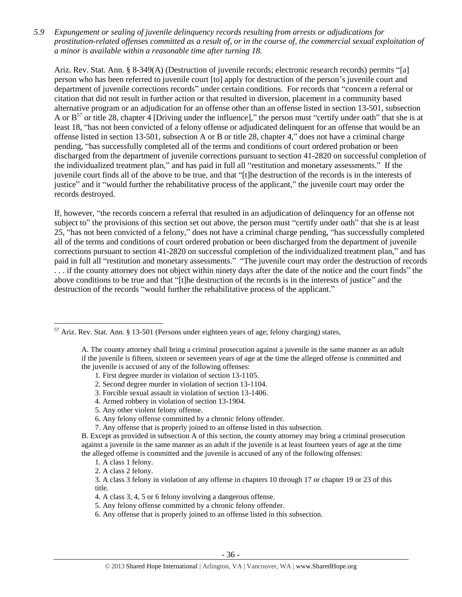*5.9 Expungement or sealing of juvenile delinquency records resulting from arrests or adjudications for prostitution-related offenses committed as a result of, or in the course of, the commercial sexual exploitation of a minor is available within a reasonable time after turning 18.*

Ariz. Rev. Stat. Ann. § 8-349(A) (Destruction of juvenile records; electronic research records) permits "[a] person who has been referred to juvenile court [to] apply for destruction of the person's juvenile court and department of juvenile corrections records" under certain conditions. For records that "concern a referral or citation that did not result in further action or that resulted in diversion, placement in a community based alternative program or an adjudication for an offense other than an offense listed in section 13-501, subsection A or  $B^{57}$  or title 28, chapter 4 [Driving under the influence]," the person must "certify under oath" that she is at least 18, "has not been convicted of a felony offense or adjudicated delinquent for an offense that would be an offense listed in section 13-501, subsection A or B or title 28, chapter 4," does not have a criminal charge pending, "has successfully completed all of the terms and conditions of court ordered probation or been discharged from the department of juvenile corrections pursuant to section 41-2820 on successful completion of the individualized treatment plan," and has paid in full all "restitution and monetary assessments." If the juvenile court finds all of the above to be true, and that "[t]he destruction of the records is in the interests of justice" and it "would further the rehabilitative process of the applicant," the juvenile court may order the records destroyed.

If, however, "the records concern a referral that resulted in an adjudication of delinquency for an offense not subject to" the provisions of this section set out above, the person must "certify under oath" that she is at least 25, "has not been convicted of a felony," does not have a criminal charge pending, "has successfully completed all of the terms and conditions of court ordered probation or been discharged from the department of juvenile corrections pursuant to section 41-2820 on successful completion of the individualized treatment plan," and has paid in full all "restitution and monetary assessments." "The juvenile court may order the destruction of records . . . if the county attorney does not object within ninety days after the date of the notice and the court finds" the above conditions to be true and that "[t]he destruction of the records is in the interests of justice" and the destruction of the records "would further the rehabilitative process of the applicant."

<sup>57</sup> Ariz. Rev. Stat. Ann. § 13-501 (Persons under eighteen years of age; felony charging) states,

A. The county attorney shall bring a criminal prosecution against a juvenile in the same manner as an adult if the juvenile is fifteen, sixteen or seventeen years of age at the time the alleged offense is committed and the juvenile is accused of any of the following offenses:

<sup>1.</sup> First degree murder in violation of section 13-1105.

<sup>2.</sup> Second degree murder in violation of section 13-1104.

<sup>3.</sup> Forcible sexual assault in violation of section 13-1406.

<sup>4.</sup> Armed robbery in violation of section 13-1904.

<sup>5.</sup> Any other violent felony offense.

<sup>6.</sup> Any felony offense committed by a chronic felony offender.

<sup>7.</sup> Any offense that is properly joined to an offense listed in this subsection.

B. Except as provided in subsection A of this section, the county attorney may bring a criminal prosecution against a juvenile in the same manner as an adult if the juvenile is at least fourteen years of age at the time the alleged offense is committed and the juvenile is accused of any of the following offenses:

<sup>1.</sup> A class 1 felony.

<sup>2.</sup> A class 2 felony.

<sup>3.</sup> A class 3 felony in violation of any offense in chapters 10 through 17 or chapter 19 or 23 of this title.

<sup>4.</sup> A class 3, 4, 5 or 6 felony involving a dangerous offense.

<sup>5.</sup> Any felony offense committed by a chronic felony offender.

<sup>6.</sup> Any offense that is properly joined to an offense listed in this subsection.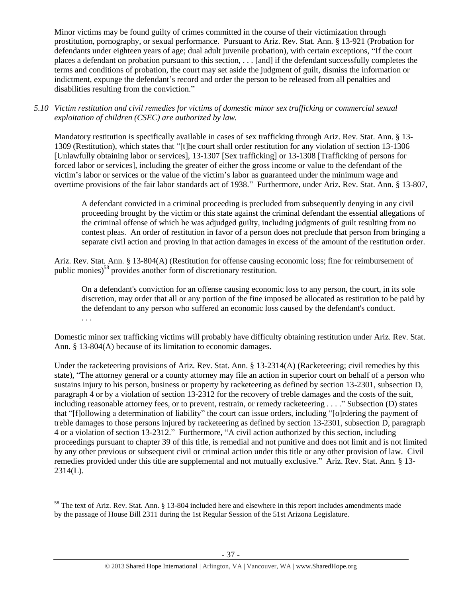Minor victims may be found guilty of crimes committed in the course of their victimization through prostitution, pornography, or sexual performance. Pursuant to Ariz. Rev. Stat. Ann. § 13-921 (Probation for defendants under eighteen years of age; dual adult juvenile probation), with certain exceptions, "If the court places a defendant on probation pursuant to this section, . . . [and] if the defendant successfully completes the terms and conditions of probation, the court may set aside the judgment of guilt, dismiss the information or indictment, expunge the defendant's record and order the person to be released from all penalties and disabilities resulting from the conviction."

*5.10 Victim restitution and civil remedies for victims of domestic minor sex trafficking or commercial sexual exploitation of children (CSEC) are authorized by law.* 

Mandatory restitution is specifically available in cases of sex trafficking through Ariz. Rev. Stat. Ann. § 13- 1309 (Restitution), which states that "[t]he court shall order restitution for any violation of section 13-1306 [Unlawfully obtaining labor or services], 13-1307 [Sex trafficking] or 13-1308 [Trafficking of persons for forced labor or services], including the greater of either the gross income or value to the defendant of the victim's labor or services or the value of the victim's labor as guaranteed under the minimum wage and overtime provisions of the fair labor standards act of 1938." Furthermore, under Ariz. Rev. Stat. Ann. § 13-807,

A defendant convicted in a criminal proceeding is precluded from subsequently denying in any civil proceeding brought by the victim or this state against the criminal defendant the essential allegations of the criminal offense of which he was adjudged guilty, including judgments of guilt resulting from no contest pleas. An order of restitution in favor of a person does not preclude that person from bringing a separate civil action and proving in that action damages in excess of the amount of the restitution order.

Ariz. Rev. Stat. Ann. § 13-804(A) (Restitution for offense causing economic loss; fine for reimbursement of public monies)<sup>58</sup> provides another form of discretionary restitution.

On a defendant's conviction for an offense causing economic loss to any person, the court, in its sole discretion, may order that all or any portion of the fine imposed be allocated as restitution to be paid by the defendant to any person who suffered an economic loss caused by the defendant's conduct. . . .

Domestic minor sex trafficking victims will probably have difficulty obtaining restitution under Ariz. Rev. Stat. Ann. § 13-804(A) because of its limitation to economic damages.

Under the racketeering provisions of Ariz. Rev. Stat. Ann. § 13-2314(A) (Racketeering; civil remedies by this state), "The attorney general or a county attorney may file an action in superior court on behalf of a person who sustains injury to his person, business or property by racketeering as defined by section 13-2301, subsection D, paragraph 4 or by a violation of section 13-2312 for the recovery of treble damages and the costs of the suit, including reasonable attorney fees, or to prevent, restrain, or remedy racketeering . . . ." Subsection (D) states that "[f]ollowing a determination of liability" the court can issue orders, including "[o]rdering the payment of treble damages to those persons injured by racketeering as defined by section 13-2301, subsection D, paragraph 4 or a violation of section 13-2312." Furthermore, "A civil action authorized by this section, including proceedings pursuant to chapter 39 of this title, is remedial and not punitive and does not limit and is not limited by any other previous or subsequent civil or criminal action under this title or any other provision of law. Civil remedies provided under this title are supplemental and not mutually exclusive." Ariz. Rev. Stat. Ann. § 13-  $2314(L)$ .

<sup>&</sup>lt;sup>58</sup> The text of Ariz. Rev. Stat. Ann. § 13-804 included here and elsewhere in this report includes amendments made by the passage of House Bill 2311 during the 1st Regular Session of the 51st Arizona Legislature.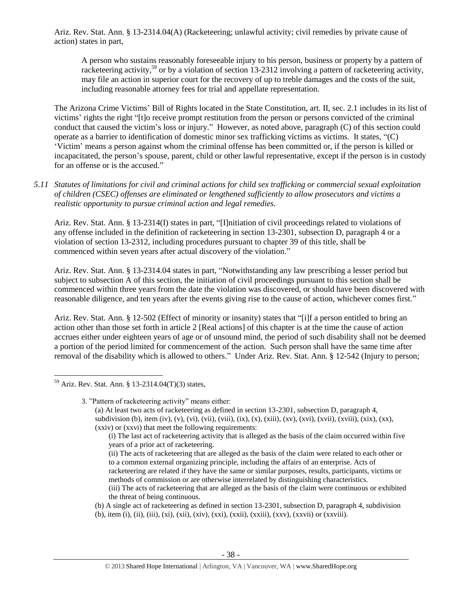Ariz. Rev. Stat. Ann. § 13-2314.04(A) (Racketeering; unlawful activity; civil remedies by private cause of action) states in part,

A person who sustains reasonably foreseeable injury to his person, business or property by a pattern of racketeering activity,<sup>59</sup> or by a violation of section 13-2312 involving a pattern of racketeering activity, may file an action in superior court for the recovery of up to treble damages and the costs of the suit, including reasonable attorney fees for trial and appellate representation.

The Arizona Crime Victims' Bill of Rights located in the State Constitution, art. II, sec. 2.1 includes in its list of victims' rights the right "[t]o receive prompt restitution from the person or persons convicted of the criminal conduct that caused the victim's loss or injury." However, as noted above, paragraph (C) of this section could operate as a barrier to identification of domestic minor sex trafficking victims as victims. It states, "(C) 'Victim' means a person against whom the criminal offense has been committed or, if the person is killed or incapacitated, the person's spouse, parent, child or other lawful representative, except if the person is in custody for an offense or is the accused."

*5.11 Statutes of limitations for civil and criminal actions for child sex trafficking or commercial sexual exploitation of children (CSEC) offenses are eliminated or lengthened sufficiently to allow prosecutors and victims a realistic opportunity to pursue criminal action and legal remedies.*

Ariz. Rev. Stat. Ann. § 13-2314(I) states in part, "[I]nitiation of civil proceedings related to violations of any offense included in the definition of racketeering in section 13-2301, subsection D, paragraph 4 or a violation of section 13-2312, including procedures pursuant to chapter 39 of this title, shall be commenced within seven years after actual discovery of the violation."

Ariz. Rev. Stat. Ann. § 13-2314.04 states in part, "Notwithstanding any law prescribing a lesser period but subject to subsection A of this section, the initiation of civil proceedings pursuant to this section shall be commenced within three years from the date the violation was discovered, or should have been discovered with reasonable diligence, and ten years after the events giving rise to the cause of action, whichever comes first."

Ariz. Rev. Stat. Ann. § 12-502 (Effect of minority or insanity) states that "[i]f a person entitled to bring an action other than those set forth in article 2 [Real actions] of this chapter is at the time the cause of action accrues either under eighteen years of age or of unsound mind, the period of such disability shall not be deemed a portion of the period limited for commencement of the action. Such person shall have the same time after removal of the disability which is allowed to others." Under Ariz. Rev. Stat. Ann. § 12-542 (Injury to person;

 $59$  Ariz. Rev. Stat. Ann. § 13-2314.04(T)(3) states,

 $\overline{a}$ 

3. "Pattern of racketeering activity" means either:

(a) At least two acts of racketeering as defined in section 13-2301, subsection D, paragraph 4, subdivision (b), item (iv), (v), (vi), (viii), (ix), (x), (xiii), (xv), (xvi), (xvii), (xviii), (xix), (xx), (xxiv) or (xxvi) that meet the following requirements:

- (ii) The acts of racketeering that are alleged as the basis of the claim were related to each other or to a common external organizing principle, including the affairs of an enterprise. Acts of racketeering are related if they have the same or similar purposes, results, participants, victims or methods of commission or are otherwise interrelated by distinguishing characteristics. (iii) The acts of racketeering that are alleged as the basis of the claim were continuous or exhibited the threat of being continuous.
- (b) A single act of racketeering as defined in section 13-2301, subsection D, paragraph 4, subdivision
- (b), item (i), (ii), (iii), (xi), (xii), (xiv), (xxi), (xxii), (xxiii), (xxv), (xxvii) or (xxviii).

<sup>(</sup>i) The last act of racketeering activity that is alleged as the basis of the claim occurred within five years of a prior act of racketeering.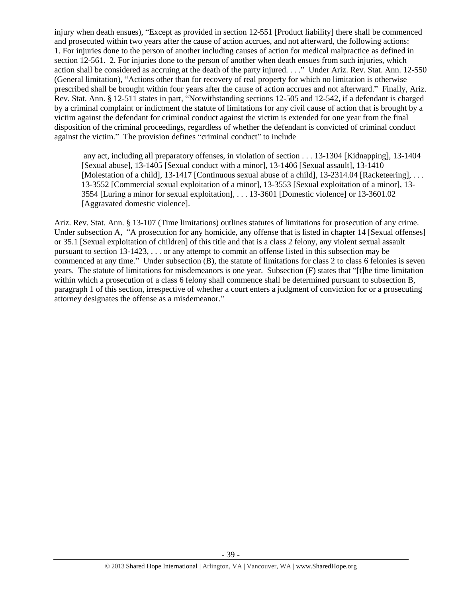injury when death ensues), "Except as provided in [section 12-551](https://www.lexis.com/research/buttonTFLink?_m=3850ce49001f84acbff8d5994c1b54a8&_xfercite=%3ccite%20cc%3d%22USA%22%3e%3c%21%5bCDATA%5bA.R.S.%20%a7%2012-542%5d%5d%3e%3c%2fcite%3e&_butType=4&_butStat=0&_butNum=2&_butInline=1&_butinfo=AZCODE%2012-551&_fmtstr=FULL&docnum=1&_startdoc=1&wchp=dGLzVtz-zSkAl&_md5=5a988684de5eb43898e3ea5c05f332b5) [Product liability] there shall be commenced and prosecuted within two years after the cause of action accrues, and not afterward, the following actions: 1. For injuries done to the person of another including causes of action for medical malpractice as defined in [section 12-561.](https://www.lexis.com/research/buttonTFLink?_m=3850ce49001f84acbff8d5994c1b54a8&_xfercite=%3ccite%20cc%3d%22USA%22%3e%3c%21%5bCDATA%5bA.R.S.%20%a7%2012-542%5d%5d%3e%3c%2fcite%3e&_butType=4&_butStat=0&_butNum=3&_butInline=1&_butinfo=AZCODE%2012-561&_fmtstr=FULL&docnum=1&_startdoc=1&wchp=dGLzVtz-zSkAl&_md5=cf55beb52a68b5852cb6837706118de9) 2. For injuries done to the person of another when death ensues from such injuries, which action shall be considered as accruing at the death of the party injured. . . ." Under Ariz. Rev. Stat. Ann. 12-550 (General limitation), "Actions other than for recovery of real property for which no limitation is otherwise prescribed shall be brought within four years after the cause of action accrues and not afterward." Finally, Ariz. Rev. Stat. Ann. § 12-511 states in part, "Notwithstanding [sections 12-505](https://www.lexis.com/research/buttonTFLink?_m=648458cdffb0e5e94f9be30d2fa43d52&_xfercite=%3ccite%20cc%3d%22USA%22%3e%3c%21%5bCDATA%5bA.R.S.%20%a7%2012-511%5d%5d%3e%3c%2fcite%3e&_butType=4&_butStat=0&_butNum=2&_butInline=1&_butinfo=AZCODE%2012-505&_fmtstr=FULL&docnum=1&_startdoc=1&wchp=dGLzVtz-zSkAl&_md5=ffa275be36922dc82ec072f8c76ed452) and [12-542,](https://www.lexis.com/research/buttonTFLink?_m=648458cdffb0e5e94f9be30d2fa43d52&_xfercite=%3ccite%20cc%3d%22USA%22%3e%3c%21%5bCDATA%5bA.R.S.%20%a7%2012-511%5d%5d%3e%3c%2fcite%3e&_butType=4&_butStat=0&_butNum=3&_butInline=1&_butinfo=AZCODE%2012-542&_fmtstr=FULL&docnum=1&_startdoc=1&wchp=dGLzVtz-zSkAl&_md5=616988ce61c3f4890008f3dbf172e956) if a defendant is charged by a criminal complaint or indictment the statute of limitations for any civil cause of action that is brought by a victim against the defendant for criminal conduct against the victim is extended for one year from the final disposition of the criminal proceedings, regardless of whether the defendant is convicted of criminal conduct against the victim." The provision defines "criminal conduct" to include

any act, including all preparatory offenses, in violation of section . . . 13-1304 [Kidnapping], 13-1404 [Sexual abuse], [13-1405](https://www.lexis.com/research/buttonTFLink?_m=648458cdffb0e5e94f9be30d2fa43d52&_xfercite=%3ccite%20cc%3d%22USA%22%3e%3c%21%5bCDATA%5bA.R.S.%20%a7%2012-511%5d%5d%3e%3c%2fcite%3e&_butType=4&_butStat=0&_butNum=13&_butInline=1&_butinfo=AZCODE%2013-1405&_fmtstr=FULL&docnum=1&_startdoc=1&wchp=dGLzVtz-zSkAl&_md5=86f6ff4f84d089090703b334fd908fe7) [Sexual conduct with a minor], [13-1406](https://www.lexis.com/research/buttonTFLink?_m=648458cdffb0e5e94f9be30d2fa43d52&_xfercite=%3ccite%20cc%3d%22USA%22%3e%3c%21%5bCDATA%5bA.R.S.%20%a7%2012-511%5d%5d%3e%3c%2fcite%3e&_butType=4&_butStat=0&_butNum=14&_butInline=1&_butinfo=AZCODE%2013-1406&_fmtstr=FULL&docnum=1&_startdoc=1&wchp=dGLzVtz-zSkAl&_md5=8930b42b74160f3a33f835415f69c5f9) [Sexual assault], [13-1410](https://www.lexis.com/research/buttonTFLink?_m=648458cdffb0e5e94f9be30d2fa43d52&_xfercite=%3ccite%20cc%3d%22USA%22%3e%3c%21%5bCDATA%5bA.R.S.%20%a7%2012-511%5d%5d%3e%3c%2fcite%3e&_butType=4&_butStat=0&_butNum=15&_butInline=1&_butinfo=AZCODE%2013-1410&_fmtstr=FULL&docnum=1&_startdoc=1&wchp=dGLzVtz-zSkAl&_md5=d8ddf0caf98423ad6e77d336a353d669) [Molestation of a child][, 13-1417](https://www.lexis.com/research/buttonTFLink?_m=648458cdffb0e5e94f9be30d2fa43d52&_xfercite=%3ccite%20cc%3d%22USA%22%3e%3c%21%5bCDATA%5bA.R.S.%20%a7%2012-511%5d%5d%3e%3c%2fcite%3e&_butType=4&_butStat=0&_butNum=16&_butInline=1&_butinfo=AZCODE%2013-1417&_fmtstr=FULL&docnum=1&_startdoc=1&wchp=dGLzVtz-zSkAl&_md5=b46b123baab2c9a35c00418fd097f1e2) [Continuous sexual abuse of a child][, 13-2314.04](https://www.lexis.com/research/buttonTFLink?_m=648458cdffb0e5e94f9be30d2fa43d52&_xfercite=%3ccite%20cc%3d%22USA%22%3e%3c%21%5bCDATA%5bA.R.S.%20%a7%2012-511%5d%5d%3e%3c%2fcite%3e&_butType=4&_butStat=0&_butNum=17&_butInline=1&_butinfo=AZCODE%2013-2314.04&_fmtstr=FULL&docnum=1&_startdoc=1&wchp=dGLzVtz-zSkAl&_md5=cbb802a51819057aa3017cae57c46b03) [Racketeering], ... [13-3552](https://www.lexis.com/research/buttonTFLink?_m=648458cdffb0e5e94f9be30d2fa43d52&_xfercite=%3ccite%20cc%3d%22USA%22%3e%3c%21%5bCDATA%5bA.R.S.%20%a7%2012-511%5d%5d%3e%3c%2fcite%3e&_butType=4&_butStat=0&_butNum=23&_butInline=1&_butinfo=AZCODE%2013-3552&_fmtstr=FULL&docnum=1&_startdoc=1&wchp=dGLzVtz-zSkAl&_md5=23bf5ab5ae03efbab9b520703402f7e0) [Commercial sexual exploitation of a minor], [13-3553](https://www.lexis.com/research/buttonTFLink?_m=648458cdffb0e5e94f9be30d2fa43d52&_xfercite=%3ccite%20cc%3d%22USA%22%3e%3c%21%5bCDATA%5bA.R.S.%20%a7%2012-511%5d%5d%3e%3c%2fcite%3e&_butType=4&_butStat=0&_butNum=24&_butInline=1&_butinfo=AZCODE%2013-3553&_fmtstr=FULL&docnum=1&_startdoc=1&wchp=dGLzVtz-zSkAl&_md5=2a2d072894ade1cb3044af40adaf308b) [Sexual exploitation of a minor], [13-](https://www.lexis.com/research/buttonTFLink?_m=648458cdffb0e5e94f9be30d2fa43d52&_xfercite=%3ccite%20cc%3d%22USA%22%3e%3c%21%5bCDATA%5bA.R.S.%20%a7%2012-511%5d%5d%3e%3c%2fcite%3e&_butType=4&_butStat=0&_butNum=25&_butInline=1&_butinfo=AZCODE%2013-3554&_fmtstr=FULL&docnum=1&_startdoc=1&wchp=dGLzVtz-zSkAl&_md5=8a8963fbd347969d652e4359cec368b9) [3554](https://www.lexis.com/research/buttonTFLink?_m=648458cdffb0e5e94f9be30d2fa43d52&_xfercite=%3ccite%20cc%3d%22USA%22%3e%3c%21%5bCDATA%5bA.R.S.%20%a7%2012-511%5d%5d%3e%3c%2fcite%3e&_butType=4&_butStat=0&_butNum=25&_butInline=1&_butinfo=AZCODE%2013-3554&_fmtstr=FULL&docnum=1&_startdoc=1&wchp=dGLzVtz-zSkAl&_md5=8a8963fbd347969d652e4359cec368b9) [Luring a minor for sexual exploitation], . . . 13-3601 [Domestic violence] or 13-3601.02 [Aggravated domestic violence].

Ariz. Rev. Stat. Ann. § 13-107 (Time limitations) outlines statutes of limitations for prosecution of any crime. Under subsection A, "A prosecution for any homicide, any offense that is listed in chapter 14 [Sexual offenses] or 35.1 [Sexual exploitation of children] of this title and that is a class 2 felony, any violent sexual assault pursuant to section 13-1423, . . . or any attempt to commit an offense listed in this subsection may be commenced at any time." Under subsection (B), the statute of limitations for class 2 to class 6 felonies is seven years. The statute of limitations for misdemeanors is one year. Subsection (F) states that "[t]he time limitation within which a prosecution of a class 6 felony shall commence shall be determined pursuant to subsection B, paragraph 1 of this section, irrespective of whether a court enters a judgment of conviction for or a prosecuting attorney designates the offense as a misdemeanor."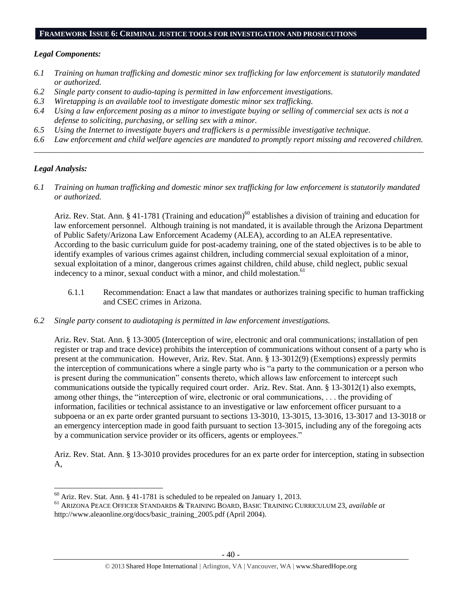#### **FRAMEWORK ISSUE 6: CRIMINAL JUSTICE TOOLS FOR INVESTIGATION AND PROSECUTIONS**

## *Legal Components:*

- *6.1 Training on human trafficking and domestic minor sex trafficking for law enforcement is statutorily mandated or authorized.*
- *6.2 Single party consent to audio-taping is permitted in law enforcement investigations.*
- *6.3 Wiretapping is an available tool to investigate domestic minor sex trafficking.*
- *6.4 Using a law enforcement posing as a minor to investigate buying or selling of commercial sex acts is not a defense to soliciting, purchasing, or selling sex with a minor.*
- *6.5 Using the Internet to investigate buyers and traffickers is a permissible investigative technique.*
- *6.6 Law enforcement and child welfare agencies are mandated to promptly report missing and recovered children. \_\_\_\_\_\_\_\_\_\_\_\_\_\_\_\_\_\_\_\_\_\_\_\_\_\_\_\_\_\_\_\_\_\_\_\_\_\_\_\_\_\_\_\_\_\_\_\_\_\_\_\_\_\_\_\_\_\_\_\_\_\_\_\_\_\_\_\_\_\_\_\_\_\_\_\_\_\_\_\_\_\_\_\_\_\_\_\_\_\_\_\_\_\_*

# *Legal Analysis:*

 $\overline{a}$ 

*6.1 Training on human trafficking and domestic minor sex trafficking for law enforcement is statutorily mandated or authorized.*

Ariz. Rev. Stat. Ann. § 41-1781 (Training and education)<sup>60</sup> establishes a division of training and education for law enforcement personnel. Although training is not mandated, it is available through the Arizona Department of Public Safety/Arizona Law Enforcement Academy (ALEA), according to an ALEA representative. According to the basic curriculum guide for post-academy training, one of the stated objectives is to be able to identify examples of various crimes against children, including commercial sexual exploitation of a minor, sexual exploitation of a minor, dangerous crimes against children, child abuse, child neglect, public sexual indecency to a minor, sexual conduct with a minor, and child molestation.<sup>61</sup>

- 6.1.1 Recommendation: Enact a law that mandates or authorizes training specific to human trafficking and CSEC crimes in Arizona.
- *6.2 Single party consent to audiotaping is permitted in law enforcement investigations.*

Ariz. Rev. Stat. Ann. § 13-3005 (Interception of wire, electronic and oral communications; installation of pen register or trap and trace device) prohibits the interception of communications without consent of a party who is present at the communication. However, Ariz. Rev. Stat. Ann. § 13-3012(9) (Exemptions) expressly permits the interception of communications where a single party who is "a party to the communication or a person who is present during the communication" consents thereto, which allows law enforcement to intercept such communications outside the typically required court order. Ariz. Rev. Stat. Ann. § 13-3012(1) also exempts, among other things, the "interception of wire, electronic or oral communications, . . . the providing of information, facilities or technical assistance to an investigative or law enforcement officer pursuant to a subpoena or an ex parte order granted pursuant to sections 13-3010, 13-3015, 13-3016, 13-3017 and 13-3018 or an emergency interception made in good faith pursuant to section 13-3015, including any of the foregoing acts by a communication service provider or its officers, agents or employees."

Ariz. Rev. Stat. Ann. § 13-3010 provides procedures for an ex parte order for interception, stating in subsection A,

 $60$  Ariz. Rev. Stat. Ann. § 41-1781 is scheduled to be repealed on January 1, 2013.

<sup>61</sup> ARIZONA PEACE OFFICER STANDARDS & TRAINING BOARD, BASIC TRAINING CURRICULUM 23, *available at* http://www.aleaonline.org/docs/basic\_training\_2005.pdf (April 2004).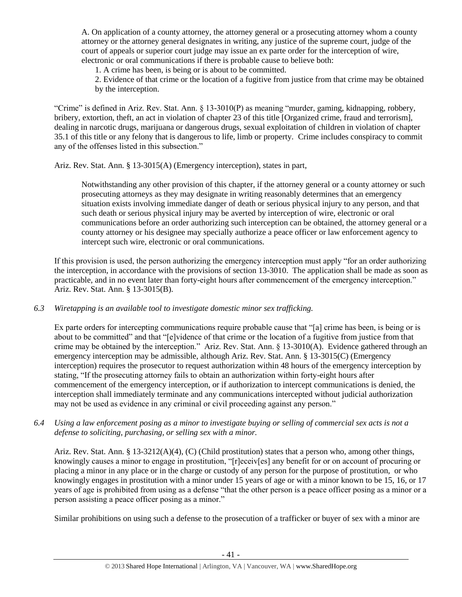A. On application of a county attorney, the attorney general or a prosecuting attorney whom a county attorney or the attorney general designates in writing, any justice of the supreme court, judge of the court of appeals or superior court judge may issue an ex parte order for the interception of wire, electronic or oral communications if there is probable cause to believe both:

1. A crime has been, is being or is about to be committed.

2. Evidence of that crime or the location of a fugitive from justice from that crime may be obtained by the interception.

"Crime" is defined in Ariz. Rev. Stat. Ann. § 13-3010(P) as meaning "murder, gaming, kidnapping, robbery, bribery, extortion, theft, an act in violation of chapter 23 of this title [Organized crime, fraud and terrorism], dealing in narcotic drugs, marijuana or dangerous drugs, sexual exploitation of children in violation of chapter 35.1 of this title or any felony that is dangerous to life, limb or property. Crime includes conspiracy to commit any of the offenses listed in this subsection."

Ariz. Rev. Stat. Ann. § 13-3015(A) (Emergency interception), states in part,

Notwithstanding any other provision of this chapter, if the attorney general or a county attorney or such prosecuting attorneys as they may designate in writing reasonably determines that an emergency situation exists involving immediate danger of death or serious physical injury to any person, and that such death or serious physical injury may be averted by interception of wire, electronic or oral communications before an order authorizing such interception can be obtained, the attorney general or a county attorney or his designee may specially authorize a peace officer or law enforcement agency to intercept such wire, electronic or oral communications.

If this provision is used, the person authorizing the emergency interception must apply "for an order authorizing the interception, in accordance with the provisions of section 13-3010. The application shall be made as soon as practicable, and in no event later than forty-eight hours after commencement of the emergency interception." Ariz. Rev. Stat. Ann. § 13-3015(B).

*6.3 Wiretapping is an available tool to investigate domestic minor sex trafficking.* 

Ex parte orders for intercepting communications require probable cause that "[a] crime has been, is being or is about to be committed" and that "[e]vidence of that crime or the location of a fugitive from justice from that crime may be obtained by the interception." Ariz. Rev. Stat. Ann. § 13-3010(A). Evidence gathered through an emergency interception may be admissible, although Ariz. Rev. Stat. Ann. § 13-3015(C) (Emergency interception) requires the prosecutor to request authorization within 48 hours of the emergency interception by stating, "If the prosecuting attorney fails to obtain an authorization within forty-eight hours after commencement of the emergency interception, or if authorization to intercept communications is denied, the interception shall immediately terminate and any communications intercepted without judicial authorization may not be used as evidence in any criminal or civil proceeding against any person."

*6.4 Using a law enforcement posing as a minor to investigate buying or selling of commercial sex acts is not a defense to soliciting, purchasing, or selling sex with a minor.*

Ariz. Rev. Stat. Ann. § 13-3212(A)(4), (C) (Child prostitution) states that a person who, among other things, knowingly causes a minor to engage in prostitution, "[r]eceiv[es] any benefit for or on account of procuring or placing a minor in any place or in the charge or custody of any person for the purpose of prostitution, or who knowingly engages in prostitution with a minor under 15 years of age or with a minor known to be 15, 16, or 17 years of age is prohibited from using as a defense "that the other person is a peace officer posing as a minor or a person assisting a peace officer posing as a minor."

Similar prohibitions on using such a defense to the prosecution of a trafficker or buyer of sex with a minor are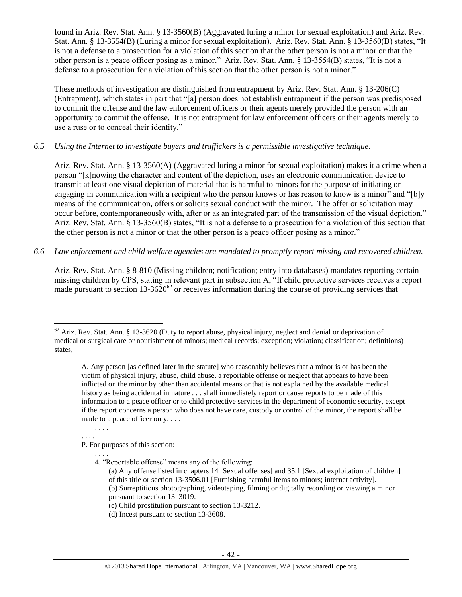found in Ariz. Rev. Stat. Ann. § 13-3560(B) (Aggravated luring a minor for sexual exploitation) and Ariz. Rev. Stat. Ann. § 13-3554(B) (Luring a minor for sexual exploitation). Ariz. Rev. Stat. Ann. § 13-3560(B) states, "It is not a defense to a prosecution for a violation of this section that the other person is not a minor or that the other person is a peace officer posing as a minor." Ariz. Rev. Stat. Ann. § 13-3554(B) states, "It is not a defense to a prosecution for a violation of this section that the other person is not a minor."

These methods of investigation are distinguished from entrapment by Ariz. Rev. Stat. Ann. § 13-206(C) (Entrapment), which states in part that "[a] person does not establish entrapment if the person was predisposed to commit the offense and the law enforcement officers or their agents merely provided the person with an opportunity to commit the offense. It is not entrapment for law enforcement officers or their agents merely to use a ruse or to conceal their identity."

# *6.5 Using the Internet to investigate buyers and traffickers is a permissible investigative technique.*

Ariz. Rev. Stat. Ann. § 13-3560(A) (Aggravated luring a minor for sexual exploitation) makes it a crime when a person "[k]nowing the character and content of the depiction, uses an electronic communication device to transmit at least one visual depiction of material that is harmful to minors for the purpose of initiating or engaging in communication with a recipient who the person knows or has reason to know is a minor" and "[b]y means of the communication, offers or solicits sexual conduct with the minor. The offer or solicitation may occur before, contemporaneously with, after or as an integrated part of the transmission of the visual depiction." Ariz. Rev. Stat. Ann. § 13-3560(B) states, "It is not a defense to a prosecution for a violation of this section that the other person is not a minor or that the other person is a peace officer posing as a minor."

# *6.6 Law enforcement and child welfare agencies are mandated to promptly report missing and recovered children.*

Ariz. Rev. Stat. Ann. § 8-810 (Missing children; notification; entry into databases) mandates reporting certain missing children by CPS, stating in relevant part in subsection A, "If child protective services receives a report made pursuant to section  $13-3620^{62}$  or receives information during the course of providing services that

. . . . . . . .

 $\overline{a}$ 

P. For purposes of this section:

. . . .

4. "Reportable offense" means any of the following:

 $62$  Ariz. Rev. Stat. Ann. § 13-3620 (Duty to report abuse, physical injury, neglect and denial or deprivation of medical or surgical care or nourishment of minors; medical records; exception; violation; classification; definitions) states,

A. Any person [as defined later in the statute] who reasonably believes that a minor is or has been the victim of physical injury, abuse, child abuse, a reportable offense or neglect that appears to have been inflicted on the minor by other than accidental means or that is not explained by the available medical history as being accidental in nature . . . shall immediately report or cause reports to be made of this information to a peace officer or to child protective services in the department of economic security, except if the report concerns a person who does not have care, custody or control of the minor, the report shall be made to a peace officer only. . . .

<sup>(</sup>a) Any offense listed in chapters 14 [Sexual offenses] and 35.1 [Sexual exploitation of children] of this title or section 13-3506.01 [Furnishing harmful items to minors; internet activity]. (b) Surreptitious photographing, videotaping, filming or digitally recording or viewing a minor pursuant to section 13–3019.

<sup>(</sup>c) Child prostitution pursuant to section 13-3212.

<sup>(</sup>d) Incest pursuant to section 13-3608.